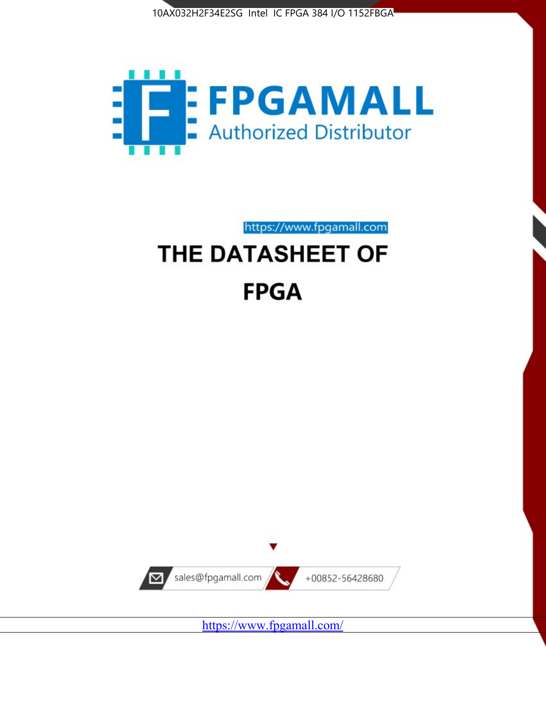



https://www.fpgamall.com THE DATASHEET OF

# **FPGA**



<https://www.fpgamall.com/>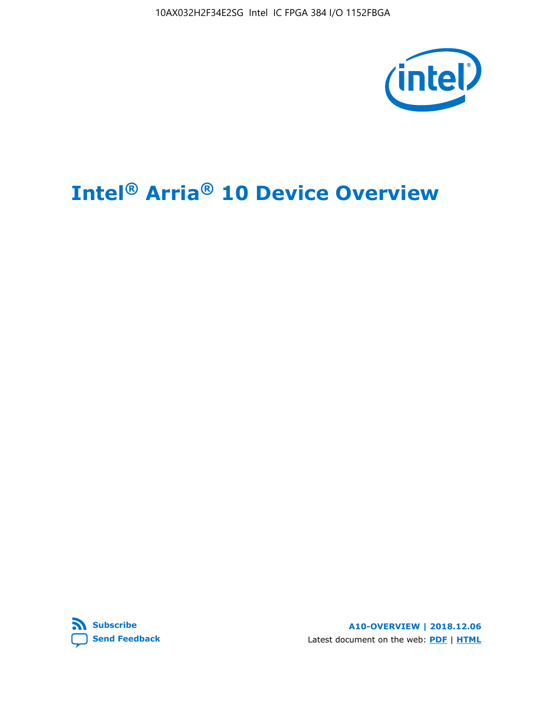10AX032H2F34E2SG Intel IC FPGA 384 I/O 1152FBGA



# **Intel® Arria® 10 Device Overview**



**A10-OVERVIEW | 2018.12.06** Latest document on the web: **[PDF](https://www.intel.com/content/dam/www/programmable/us/en/pdfs/literature/hb/arria-10/a10_overview.pdf)** | **[HTML](https://www.intel.com/content/www/us/en/programmable/documentation/sam1403480274650.html)**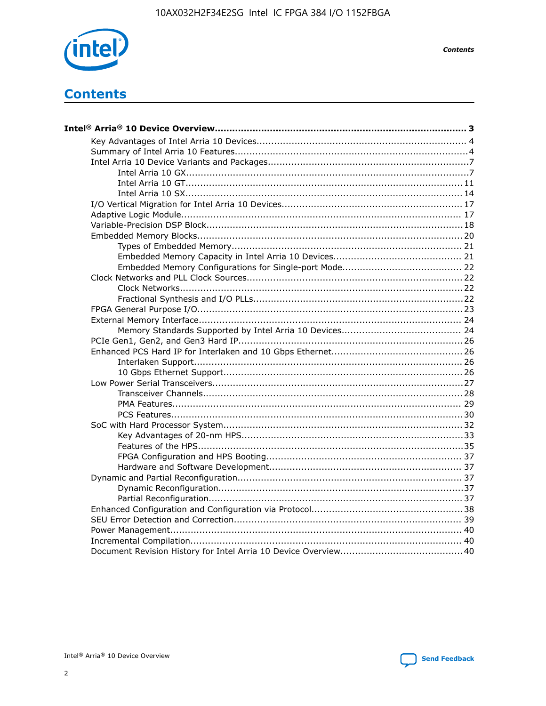

**Contents** 

# **Contents**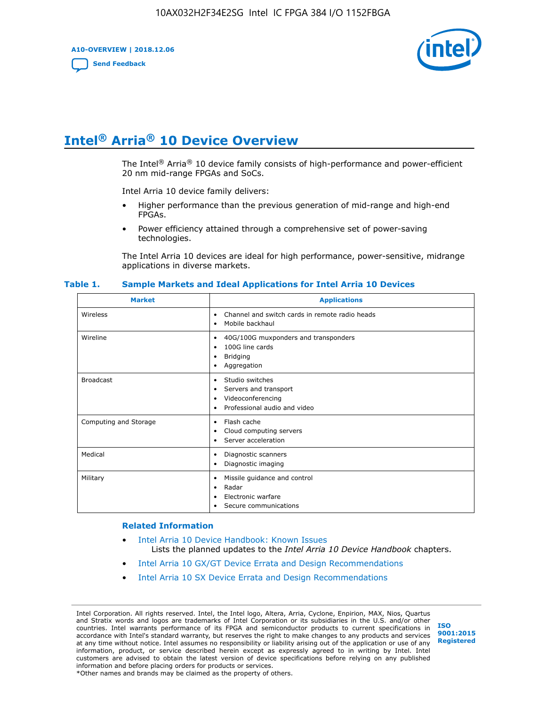**A10-OVERVIEW | 2018.12.06**

**[Send Feedback](mailto:FPGAtechdocfeedback@intel.com?subject=Feedback%20on%20Intel%20Arria%2010%20Device%20Overview%20(A10-OVERVIEW%202018.12.06)&body=We%20appreciate%20your%20feedback.%20In%20your%20comments,%20also%20specify%20the%20page%20number%20or%20paragraph.%20Thank%20you.)**



# **Intel® Arria® 10 Device Overview**

The Intel<sup>®</sup> Arria<sup>®</sup> 10 device family consists of high-performance and power-efficient 20 nm mid-range FPGAs and SoCs.

Intel Arria 10 device family delivers:

- Higher performance than the previous generation of mid-range and high-end FPGAs.
- Power efficiency attained through a comprehensive set of power-saving technologies.

The Intel Arria 10 devices are ideal for high performance, power-sensitive, midrange applications in diverse markets.

| <b>Market</b>         | <b>Applications</b>                                                                                               |
|-----------------------|-------------------------------------------------------------------------------------------------------------------|
| Wireless              | Channel and switch cards in remote radio heads<br>٠<br>Mobile backhaul<br>٠                                       |
| Wireline              | 40G/100G muxponders and transponders<br>٠<br>100G line cards<br>٠<br><b>Bridging</b><br>٠<br>Aggregation<br>٠     |
| <b>Broadcast</b>      | Studio switches<br>٠<br>Servers and transport<br>٠<br>Videoconferencing<br>٠<br>Professional audio and video<br>٠ |
| Computing and Storage | Flash cache<br>٠<br>Cloud computing servers<br>٠<br>Server acceleration<br>٠                                      |
| Medical               | Diagnostic scanners<br>٠<br>Diagnostic imaging<br>٠                                                               |
| Military              | Missile guidance and control<br>٠<br>Radar<br>٠<br>Electronic warfare<br>٠<br>Secure communications<br>٠          |

#### **Table 1. Sample Markets and Ideal Applications for Intel Arria 10 Devices**

#### **Related Information**

- [Intel Arria 10 Device Handbook: Known Issues](http://www.altera.com/support/kdb/solutions/rd07302013_646.html) Lists the planned updates to the *Intel Arria 10 Device Handbook* chapters.
- [Intel Arria 10 GX/GT Device Errata and Design Recommendations](https://www.intel.com/content/www/us/en/programmable/documentation/agz1493851706374.html#yqz1494433888646)
- [Intel Arria 10 SX Device Errata and Design Recommendations](https://www.intel.com/content/www/us/en/programmable/documentation/cru1462832385668.html#cru1462832558642)

Intel Corporation. All rights reserved. Intel, the Intel logo, Altera, Arria, Cyclone, Enpirion, MAX, Nios, Quartus and Stratix words and logos are trademarks of Intel Corporation or its subsidiaries in the U.S. and/or other countries. Intel warrants performance of its FPGA and semiconductor products to current specifications in accordance with Intel's standard warranty, but reserves the right to make changes to any products and services at any time without notice. Intel assumes no responsibility or liability arising out of the application or use of any information, product, or service described herein except as expressly agreed to in writing by Intel. Intel customers are advised to obtain the latest version of device specifications before relying on any published information and before placing orders for products or services. \*Other names and brands may be claimed as the property of others.

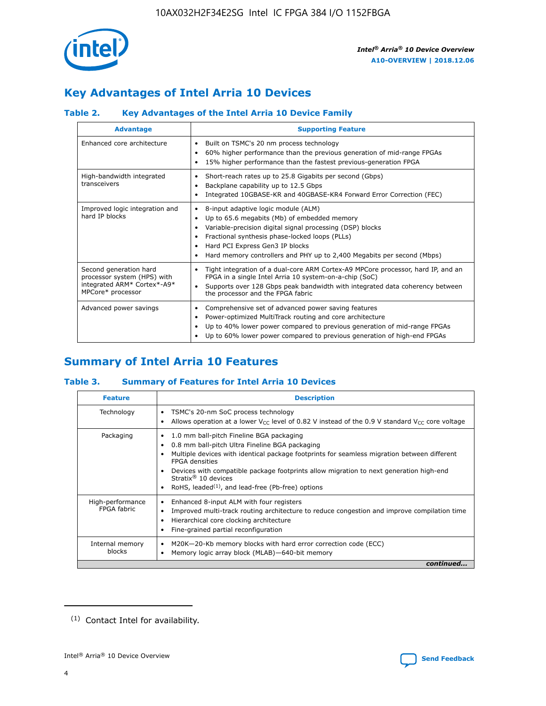

# **Key Advantages of Intel Arria 10 Devices**

## **Table 2. Key Advantages of the Intel Arria 10 Device Family**

| <b>Advantage</b>                                                                                          | <b>Supporting Feature</b>                                                                                                                                                                                                                                                                                                     |
|-----------------------------------------------------------------------------------------------------------|-------------------------------------------------------------------------------------------------------------------------------------------------------------------------------------------------------------------------------------------------------------------------------------------------------------------------------|
| Enhanced core architecture                                                                                | Built on TSMC's 20 nm process technology<br>٠<br>60% higher performance than the previous generation of mid-range FPGAs<br>٠<br>15% higher performance than the fastest previous-generation FPGA<br>٠                                                                                                                         |
| High-bandwidth integrated<br>transceivers                                                                 | Short-reach rates up to 25.8 Gigabits per second (Gbps)<br>٠<br>Backplane capability up to 12.5 Gbps<br>٠<br>Integrated 10GBASE-KR and 40GBASE-KR4 Forward Error Correction (FEC)<br>٠                                                                                                                                        |
| Improved logic integration and<br>hard IP blocks                                                          | 8-input adaptive logic module (ALM)<br>٠<br>Up to 65.6 megabits (Mb) of embedded memory<br>٠<br>Variable-precision digital signal processing (DSP) blocks<br>Fractional synthesis phase-locked loops (PLLs)<br>٠<br>Hard PCI Express Gen3 IP blocks<br>Hard memory controllers and PHY up to 2,400 Megabits per second (Mbps) |
| Second generation hard<br>processor system (HPS) with<br>integrated ARM* Cortex*-A9*<br>MPCore* processor | Tight integration of a dual-core ARM Cortex-A9 MPCore processor, hard IP, and an<br>٠<br>FPGA in a single Intel Arria 10 system-on-a-chip (SoC)<br>Supports over 128 Gbps peak bandwidth with integrated data coherency between<br>$\bullet$<br>the processor and the FPGA fabric                                             |
| Advanced power savings                                                                                    | Comprehensive set of advanced power saving features<br>٠<br>Power-optimized MultiTrack routing and core architecture<br>٠<br>Up to 40% lower power compared to previous generation of mid-range FPGAs<br>٠<br>Up to 60% lower power compared to previous generation of high-end FPGAs                                         |

# **Summary of Intel Arria 10 Features**

## **Table 3. Summary of Features for Intel Arria 10 Devices**

| <b>Feature</b>                  | <b>Description</b>                                                                                                                                                                                                                                                                                                                                                                                 |
|---------------------------------|----------------------------------------------------------------------------------------------------------------------------------------------------------------------------------------------------------------------------------------------------------------------------------------------------------------------------------------------------------------------------------------------------|
| Technology                      | TSMC's 20-nm SoC process technology<br>Allows operation at a lower $V_{\text{CC}}$ level of 0.82 V instead of the 0.9 V standard $V_{\text{CC}}$ core voltage                                                                                                                                                                                                                                      |
| Packaging                       | 1.0 mm ball-pitch Fineline BGA packaging<br>٠<br>0.8 mm ball-pitch Ultra Fineline BGA packaging<br>Multiple devices with identical package footprints for seamless migration between different<br><b>FPGA</b> densities<br>Devices with compatible package footprints allow migration to next generation high-end<br>Stratix $@10$ devices<br>RoHS, leaded $(1)$ , and lead-free (Pb-free) options |
| High-performance<br>FPGA fabric | Enhanced 8-input ALM with four registers<br>Improved multi-track routing architecture to reduce congestion and improve compilation time<br>Hierarchical core clocking architecture<br>Fine-grained partial reconfiguration                                                                                                                                                                         |
| Internal memory<br>blocks       | M20K-20-Kb memory blocks with hard error correction code (ECC)<br>Memory logic array block (MLAB)-640-bit memory                                                                                                                                                                                                                                                                                   |
|                                 | continued                                                                                                                                                                                                                                                                                                                                                                                          |



<sup>(1)</sup> Contact Intel for availability.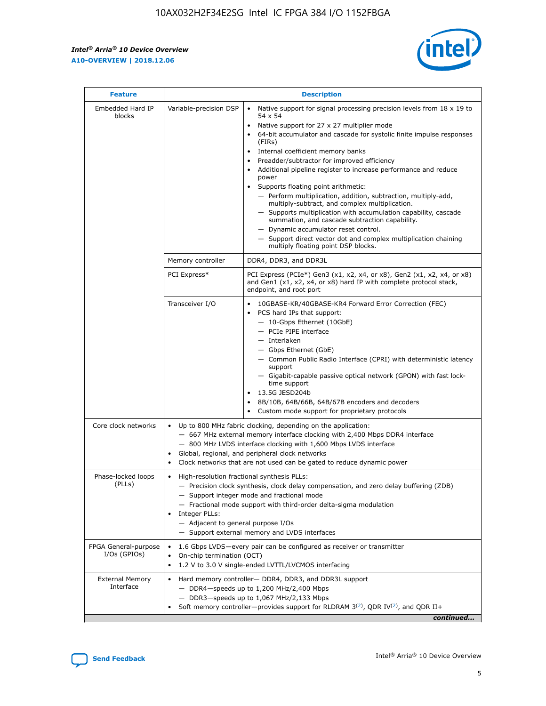$\mathbf{r}$ 



| <b>Feature</b>                         |                                                                                                                                                                                                                                                                         | <b>Description</b>                                                                                                                                                                                                                                                                                                                                                                                                                                                                                                                                                                                                                                                                                                                                                                                                                                                            |  |  |  |  |
|----------------------------------------|-------------------------------------------------------------------------------------------------------------------------------------------------------------------------------------------------------------------------------------------------------------------------|-------------------------------------------------------------------------------------------------------------------------------------------------------------------------------------------------------------------------------------------------------------------------------------------------------------------------------------------------------------------------------------------------------------------------------------------------------------------------------------------------------------------------------------------------------------------------------------------------------------------------------------------------------------------------------------------------------------------------------------------------------------------------------------------------------------------------------------------------------------------------------|--|--|--|--|
| Embedded Hard IP<br>blocks             | Variable-precision DSP                                                                                                                                                                                                                                                  | Native support for signal processing precision levels from $18 \times 19$ to<br>$\bullet$<br>54 x 54<br>Native support for 27 x 27 multiplier mode<br>$\bullet$<br>64-bit accumulator and cascade for systolic finite impulse responses<br>$\bullet$<br>(FIRs)<br>Internal coefficient memory banks<br>$\bullet$<br>Preadder/subtractor for improved efficiency<br>Additional pipeline register to increase performance and reduce<br>power<br>Supports floating point arithmetic:<br>- Perform multiplication, addition, subtraction, multiply-add,<br>multiply-subtract, and complex multiplication.<br>- Supports multiplication with accumulation capability, cascade<br>summation, and cascade subtraction capability.<br>- Dynamic accumulator reset control.<br>- Support direct vector dot and complex multiplication chaining<br>multiply floating point DSP blocks. |  |  |  |  |
|                                        | Memory controller                                                                                                                                                                                                                                                       | DDR4, DDR3, and DDR3L                                                                                                                                                                                                                                                                                                                                                                                                                                                                                                                                                                                                                                                                                                                                                                                                                                                         |  |  |  |  |
|                                        | PCI Express*                                                                                                                                                                                                                                                            | PCI Express (PCIe*) Gen3 (x1, x2, x4, or x8), Gen2 (x1, x2, x4, or x8)<br>and Gen1 (x1, x2, x4, or x8) hard IP with complete protocol stack,<br>endpoint, and root port                                                                                                                                                                                                                                                                                                                                                                                                                                                                                                                                                                                                                                                                                                       |  |  |  |  |
|                                        | Transceiver I/O                                                                                                                                                                                                                                                         | 10GBASE-KR/40GBASE-KR4 Forward Error Correction (FEC)<br>PCS hard IPs that support:<br>٠<br>- 10-Gbps Ethernet (10GbE)<br>- PCIe PIPE interface<br>- Interlaken<br>- Gbps Ethernet (GbE)<br>- Common Public Radio Interface (CPRI) with deterministic latency<br>support<br>- Gigabit-capable passive optical network (GPON) with fast lock-<br>time support<br>13.5G JESD204b<br>$\bullet$<br>8B/10B, 64B/66B, 64B/67B encoders and decoders<br>$\bullet$<br>Custom mode support for proprietary protocols                                                                                                                                                                                                                                                                                                                                                                   |  |  |  |  |
| Core clock networks                    | $\bullet$                                                                                                                                                                                                                                                               | Up to 800 MHz fabric clocking, depending on the application:<br>- 667 MHz external memory interface clocking with 2,400 Mbps DDR4 interface<br>- 800 MHz LVDS interface clocking with 1,600 Mbps LVDS interface<br>Global, regional, and peripheral clock networks<br>Clock networks that are not used can be gated to reduce dynamic power                                                                                                                                                                                                                                                                                                                                                                                                                                                                                                                                   |  |  |  |  |
| Phase-locked loops<br>(PLLs)           | High-resolution fractional synthesis PLLs:<br>٠<br>Integer PLLs:<br>- Adjacent to general purpose I/Os                                                                                                                                                                  | - Precision clock synthesis, clock delay compensation, and zero delay buffering (ZDB)<br>- Support integer mode and fractional mode<br>- Fractional mode support with third-order delta-sigma modulation<br>- Support external memory and LVDS interfaces                                                                                                                                                                                                                                                                                                                                                                                                                                                                                                                                                                                                                     |  |  |  |  |
| FPGA General-purpose<br>$I/Os$ (GPIOs) | On-chip termination (OCT)<br>٠                                                                                                                                                                                                                                          | 1.6 Gbps LVDS-every pair can be configured as receiver or transmitter<br>1.2 V to 3.0 V single-ended LVTTL/LVCMOS interfacing                                                                                                                                                                                                                                                                                                                                                                                                                                                                                                                                                                                                                                                                                                                                                 |  |  |  |  |
| <b>External Memory</b><br>Interface    | Hard memory controller- DDR4, DDR3, and DDR3L support<br>$\bullet$<br>- DDR4-speeds up to 1,200 MHz/2,400 Mbps<br>- DDR3-speeds up to 1,067 MHz/2,133 Mbps<br>Soft memory controller—provides support for RLDRAM $3^{(2)}$ , QDR IV $^{(2)}$ , and QDR II+<br>continued |                                                                                                                                                                                                                                                                                                                                                                                                                                                                                                                                                                                                                                                                                                                                                                                                                                                                               |  |  |  |  |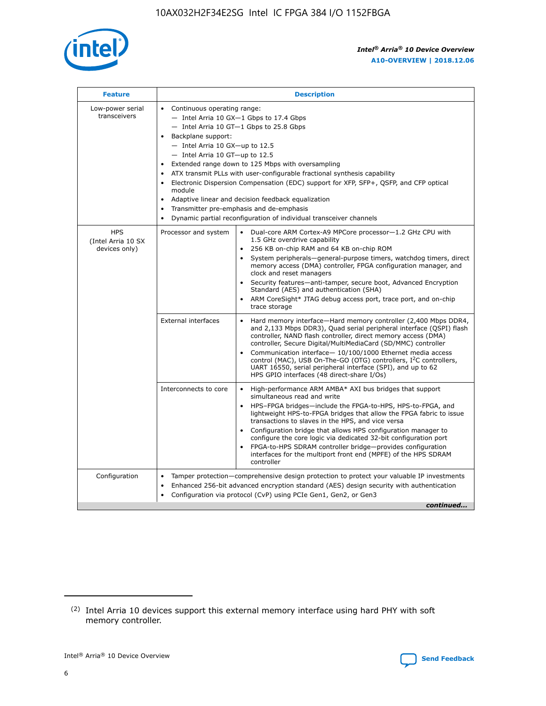

| <b>Feature</b>                                    | <b>Description</b>                                                                                                                                                                                                                                                                                                                                                                                                                                                                                                                                                                                                                         |  |  |  |  |  |  |  |
|---------------------------------------------------|--------------------------------------------------------------------------------------------------------------------------------------------------------------------------------------------------------------------------------------------------------------------------------------------------------------------------------------------------------------------------------------------------------------------------------------------------------------------------------------------------------------------------------------------------------------------------------------------------------------------------------------------|--|--|--|--|--|--|--|
| Low-power serial<br>transceivers                  | • Continuous operating range:<br>- Intel Arria 10 GX-1 Gbps to 17.4 Gbps<br>- Intel Arria 10 GT-1 Gbps to 25.8 Gbps<br>Backplane support:<br>$-$ Intel Arria 10 GX-up to 12.5<br>- Intel Arria 10 GT-up to 12.5<br>Extended range down to 125 Mbps with oversampling<br>ATX transmit PLLs with user-configurable fractional synthesis capability<br>Electronic Dispersion Compensation (EDC) support for XFP, SFP+, QSFP, and CFP optical<br>module<br>• Adaptive linear and decision feedback equalization<br>Transmitter pre-emphasis and de-emphasis<br>$\bullet$<br>Dynamic partial reconfiguration of individual transceiver channels |  |  |  |  |  |  |  |
| <b>HPS</b><br>(Intel Arria 10 SX<br>devices only) | Dual-core ARM Cortex-A9 MPCore processor-1.2 GHz CPU with<br>Processor and system<br>$\bullet$<br>1.5 GHz overdrive capability<br>256 KB on-chip RAM and 64 KB on-chip ROM<br>System peripherals-general-purpose timers, watchdog timers, direct<br>memory access (DMA) controller, FPGA configuration manager, and<br>clock and reset managers<br>Security features-anti-tamper, secure boot, Advanced Encryption<br>$\bullet$<br>Standard (AES) and authentication (SHA)<br>ARM CoreSight* JTAG debug access port, trace port, and on-chip<br>trace storage                                                                              |  |  |  |  |  |  |  |
|                                                   | <b>External interfaces</b><br>Hard memory interface-Hard memory controller (2,400 Mbps DDR4,<br>$\bullet$<br>and 2,133 Mbps DDR3), Quad serial peripheral interface (QSPI) flash<br>controller, NAND flash controller, direct memory access (DMA)<br>controller, Secure Digital/MultiMediaCard (SD/MMC) controller<br>Communication interface-10/100/1000 Ethernet media access<br>$\bullet$<br>control (MAC), USB On-The-GO (OTG) controllers, I <sup>2</sup> C controllers,<br>UART 16550, serial peripheral interface (SPI), and up to 62<br>HPS GPIO interfaces (48 direct-share I/Os)                                                 |  |  |  |  |  |  |  |
|                                                   | High-performance ARM AMBA* AXI bus bridges that support<br>Interconnects to core<br>$\bullet$<br>simultaneous read and write<br>HPS-FPGA bridges-include the FPGA-to-HPS, HPS-to-FPGA, and<br>$\bullet$<br>lightweight HPS-to-FPGA bridges that allow the FPGA fabric to issue<br>transactions to slaves in the HPS, and vice versa<br>Configuration bridge that allows HPS configuration manager to<br>configure the core logic via dedicated 32-bit configuration port<br>FPGA-to-HPS SDRAM controller bridge-provides configuration<br>interfaces for the multiport front end (MPFE) of the HPS SDRAM<br>controller                     |  |  |  |  |  |  |  |
| Configuration                                     | Tamper protection—comprehensive design protection to protect your valuable IP investments<br>Enhanced 256-bit advanced encryption standard (AES) design security with authentication<br>٠<br>Configuration via protocol (CvP) using PCIe Gen1, Gen2, or Gen3<br>continued                                                                                                                                                                                                                                                                                                                                                                  |  |  |  |  |  |  |  |

<sup>(2)</sup> Intel Arria 10 devices support this external memory interface using hard PHY with soft memory controller.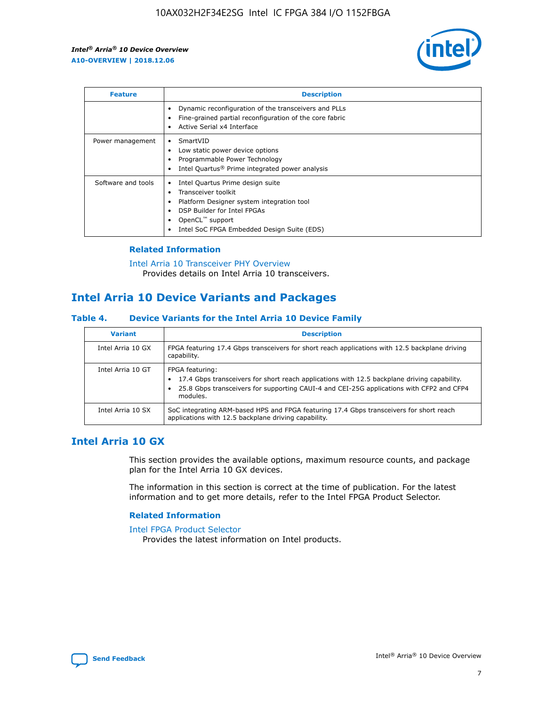

| <b>Feature</b>     | <b>Description</b>                                                                                                                                                                                               |
|--------------------|------------------------------------------------------------------------------------------------------------------------------------------------------------------------------------------------------------------|
|                    | Dynamic reconfiguration of the transceivers and PLLs<br>Fine-grained partial reconfiguration of the core fabric<br>Active Serial x4 Interface<br>$\bullet$                                                       |
| Power management   | SmartVID<br>Low static power device options<br>Programmable Power Technology<br>Intel Quartus <sup>®</sup> Prime integrated power analysis                                                                       |
| Software and tools | Intel Quartus Prime design suite<br>Transceiver toolkit<br>Platform Designer system integration tool<br>DSP Builder for Intel FPGAs<br>OpenCL <sup>™</sup> support<br>Intel SoC FPGA Embedded Design Suite (EDS) |

## **Related Information**

[Intel Arria 10 Transceiver PHY Overview](https://www.intel.com/content/www/us/en/programmable/documentation/nik1398707230472.html#nik1398706768037) Provides details on Intel Arria 10 transceivers.

## **Intel Arria 10 Device Variants and Packages**

#### **Table 4. Device Variants for the Intel Arria 10 Device Family**

| <b>Variant</b>    | <b>Description</b>                                                                                                                                                                                                     |
|-------------------|------------------------------------------------------------------------------------------------------------------------------------------------------------------------------------------------------------------------|
| Intel Arria 10 GX | FPGA featuring 17.4 Gbps transceivers for short reach applications with 12.5 backplane driving<br>capability.                                                                                                          |
| Intel Arria 10 GT | FPGA featuring:<br>17.4 Gbps transceivers for short reach applications with 12.5 backplane driving capability.<br>25.8 Gbps transceivers for supporting CAUI-4 and CEI-25G applications with CFP2 and CFP4<br>modules. |
| Intel Arria 10 SX | SoC integrating ARM-based HPS and FPGA featuring 17.4 Gbps transceivers for short reach<br>applications with 12.5 backplane driving capability.                                                                        |

## **Intel Arria 10 GX**

This section provides the available options, maximum resource counts, and package plan for the Intel Arria 10 GX devices.

The information in this section is correct at the time of publication. For the latest information and to get more details, refer to the Intel FPGA Product Selector.

#### **Related Information**

#### [Intel FPGA Product Selector](http://www.altera.com/products/selector/psg-selector.html) Provides the latest information on Intel products.

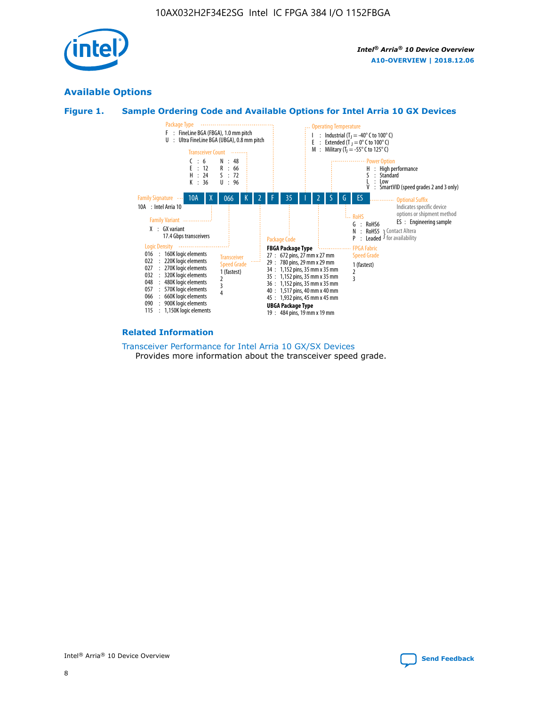

## **Available Options**





#### **Related Information**

[Transceiver Performance for Intel Arria 10 GX/SX Devices](https://www.intel.com/content/www/us/en/programmable/documentation/mcn1413182292568.html#mcn1413213965502) Provides more information about the transceiver speed grade.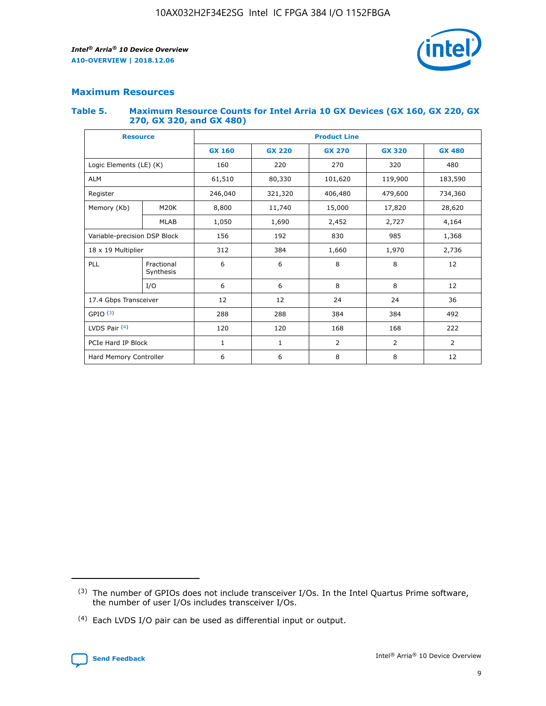

## **Maximum Resources**

#### **Table 5. Maximum Resource Counts for Intel Arria 10 GX Devices (GX 160, GX 220, GX 270, GX 320, and GX 480)**

| <b>Resource</b>              |                         | <b>Product Line</b> |                                                 |                  |                |                |  |  |  |
|------------------------------|-------------------------|---------------------|-------------------------------------------------|------------------|----------------|----------------|--|--|--|
|                              |                         | <b>GX 160</b>       | <b>GX 220</b><br><b>GX 270</b><br><b>GX 320</b> |                  |                | <b>GX 480</b>  |  |  |  |
| Logic Elements (LE) (K)      |                         | 160                 | 220                                             | 270              | 320            | 480            |  |  |  |
| <b>ALM</b>                   |                         | 61,510              | 80,330                                          | 101,620          | 119,900        | 183,590        |  |  |  |
| Register                     |                         | 246,040             | 406,480<br>479,600<br>321,320                   |                  |                | 734,360        |  |  |  |
| Memory (Kb)                  | M <sub>20</sub> K       | 8,800               | 11,740                                          | 15,000<br>17,820 |                | 28,620         |  |  |  |
|                              | <b>MLAB</b>             | 1,050               | 1,690<br>2,452<br>2,727                         |                  |                | 4,164          |  |  |  |
| Variable-precision DSP Block |                         | 156                 | 192                                             | 830              | 985            | 1,368          |  |  |  |
| 18 x 19 Multiplier           |                         | 312                 | 384                                             | 1,970<br>1,660   |                | 2,736          |  |  |  |
| PLL                          | Fractional<br>Synthesis | 6                   | 6                                               | 8                | 8              | 12             |  |  |  |
|                              | I/O                     | 6                   | 6                                               | 8                | 8              | 12             |  |  |  |
| 17.4 Gbps Transceiver        |                         | 12                  | 12                                              | 24               | 24             | 36             |  |  |  |
| GPIO <sup>(3)</sup>          |                         | 288                 | 288                                             | 384              | 384            | 492            |  |  |  |
| LVDS Pair $(4)$              |                         | 120                 | 120                                             | 168              | 168            | 222            |  |  |  |
| PCIe Hard IP Block           |                         | 1                   | 1                                               | 2                | $\overline{2}$ | $\overline{2}$ |  |  |  |
| Hard Memory Controller       |                         | 6                   | 6                                               | 8                | 8              | 12             |  |  |  |

<sup>(4)</sup> Each LVDS I/O pair can be used as differential input or output.



<sup>(3)</sup> The number of GPIOs does not include transceiver I/Os. In the Intel Quartus Prime software, the number of user I/Os includes transceiver I/Os.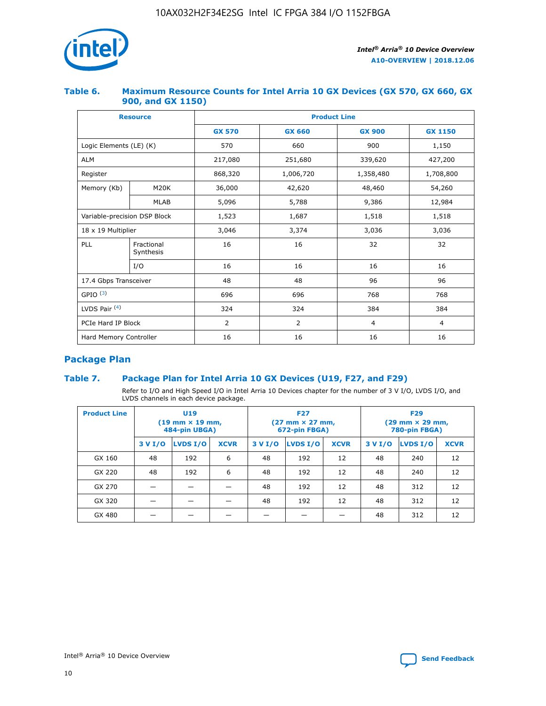

## **Table 6. Maximum Resource Counts for Intel Arria 10 GX Devices (GX 570, GX 660, GX 900, and GX 1150)**

|                              | <b>Resource</b>         |               | <b>Product Line</b> |                |                |  |  |  |  |  |
|------------------------------|-------------------------|---------------|---------------------|----------------|----------------|--|--|--|--|--|
|                              |                         | <b>GX 570</b> | <b>GX 660</b>       | <b>GX 900</b>  | <b>GX 1150</b> |  |  |  |  |  |
| Logic Elements (LE) (K)      |                         | 570           | 660                 | 900            | 1,150          |  |  |  |  |  |
| <b>ALM</b>                   |                         | 217,080       | 251,680             | 339,620        | 427,200        |  |  |  |  |  |
| Register                     |                         | 868,320       | 1,006,720           |                | 1,708,800      |  |  |  |  |  |
| Memory (Kb)                  | <b>M20K</b>             | 36,000        | 42,620              | 48,460         | 54,260         |  |  |  |  |  |
|                              | <b>MLAB</b>             | 5,096         | 5,788               | 9,386          | 12,984         |  |  |  |  |  |
| Variable-precision DSP Block |                         | 1,523         | 1,687               | 1,518          | 1,518          |  |  |  |  |  |
| $18 \times 19$ Multiplier    |                         | 3,046         | 3,374               | 3,036          | 3,036          |  |  |  |  |  |
| PLL                          | Fractional<br>Synthesis | 16            | 16                  | 32             | 32             |  |  |  |  |  |
|                              | I/O                     | 16            | 16                  | 16             | 16             |  |  |  |  |  |
| 17.4 Gbps Transceiver        |                         | 48            | 48                  | 96             |                |  |  |  |  |  |
| GPIO <sup>(3)</sup>          |                         | 696           | 696                 | 768            | 768            |  |  |  |  |  |
| LVDS Pair $(4)$              |                         | 324           | 324<br>384          |                | 384            |  |  |  |  |  |
| PCIe Hard IP Block           |                         | 2             | 2                   | $\overline{4}$ | $\overline{4}$ |  |  |  |  |  |
| Hard Memory Controller       |                         | 16            | 16                  | 16             | 16             |  |  |  |  |  |

## **Package Plan**

## **Table 7. Package Plan for Intel Arria 10 GX Devices (U19, F27, and F29)**

Refer to I/O and High Speed I/O in Intel Arria 10 Devices chapter for the number of 3 V I/O, LVDS I/O, and LVDS channels in each device package.

| <b>Product Line</b> | U <sub>19</sub><br>$(19 \text{ mm} \times 19 \text{ mm})$<br>484-pin UBGA) |          |             | <b>F27</b><br>(27 mm × 27 mm,<br>672-pin FBGA) |          |             | <b>F29</b><br>(29 mm × 29 mm,<br>780-pin FBGA) |          |             |  |
|---------------------|----------------------------------------------------------------------------|----------|-------------|------------------------------------------------|----------|-------------|------------------------------------------------|----------|-------------|--|
|                     | 3 V I/O                                                                    | LVDS I/O | <b>XCVR</b> | 3 V I/O                                        | LVDS I/O | <b>XCVR</b> | 3 V I/O                                        | LVDS I/O | <b>XCVR</b> |  |
| GX 160              | 48                                                                         | 192      | 6           | 48                                             | 192      | 12          | 48                                             | 240      | 12          |  |
| GX 220              | 48                                                                         | 192      | 6           | 48                                             | 192      | 12          | 48                                             | 240      | 12          |  |
| GX 270              |                                                                            |          |             | 48                                             | 192      | 12          | 48                                             | 312      | 12          |  |
| GX 320              |                                                                            |          |             | 48                                             | 192      | 12          | 48                                             | 312      | 12          |  |
| GX 480              |                                                                            |          |             |                                                |          |             | 48                                             | 312      | 12          |  |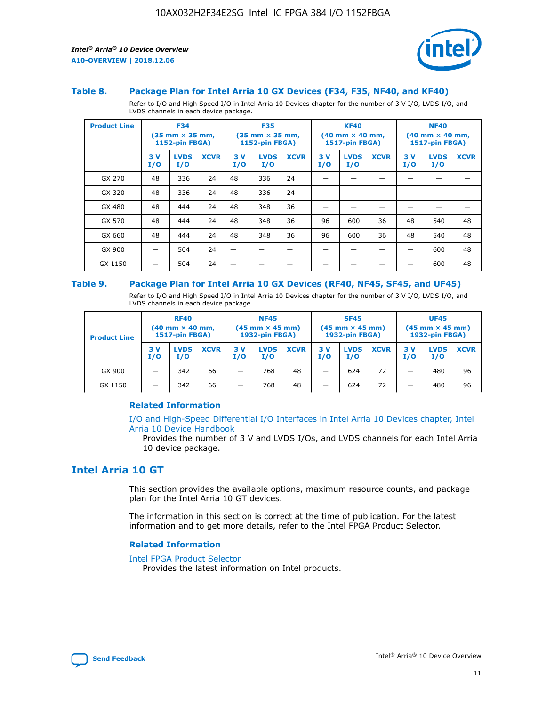

#### **Table 8. Package Plan for Intel Arria 10 GX Devices (F34, F35, NF40, and KF40)**

Refer to I/O and High Speed I/O in Intel Arria 10 Devices chapter for the number of 3 V I/O, LVDS I/O, and LVDS channels in each device package.

| <b>Product Line</b> | <b>F34</b><br>$(35 \text{ mm} \times 35 \text{ mm})$<br><b>1152-pin FBGA)</b> |                    | <b>F35</b><br>$(35 \text{ mm} \times 35 \text{ mm})$<br><b>1152-pin FBGA)</b> |           | <b>KF40</b><br>$(40$ mm $\times$ 40 mm,<br>1517-pin FBGA) |             |           | <b>NF40</b><br>$(40 \text{ mm} \times 40 \text{ mm})$<br>1517-pin FBGA) |             |           |                    |             |
|---------------------|-------------------------------------------------------------------------------|--------------------|-------------------------------------------------------------------------------|-----------|-----------------------------------------------------------|-------------|-----------|-------------------------------------------------------------------------|-------------|-----------|--------------------|-------------|
|                     | 3V<br>I/O                                                                     | <b>LVDS</b><br>I/O | <b>XCVR</b>                                                                   | 3V<br>I/O | <b>LVDS</b><br>I/O                                        | <b>XCVR</b> | 3V<br>I/O | <b>LVDS</b><br>I/O                                                      | <b>XCVR</b> | 3V<br>I/O | <b>LVDS</b><br>I/O | <b>XCVR</b> |
| GX 270              | 48                                                                            | 336                | 24                                                                            | 48        | 336                                                       | 24          |           |                                                                         |             |           |                    |             |
| GX 320              | 48                                                                            | 336                | 24                                                                            | 48        | 336                                                       | 24          |           |                                                                         |             |           |                    |             |
| GX 480              | 48                                                                            | 444                | 24                                                                            | 48        | 348                                                       | 36          |           |                                                                         |             |           |                    |             |
| GX 570              | 48                                                                            | 444                | 24                                                                            | 48        | 348                                                       | 36          | 96        | 600                                                                     | 36          | 48        | 540                | 48          |
| GX 660              | 48                                                                            | 444                | 24                                                                            | 48        | 348                                                       | 36          | 96        | 600                                                                     | 36          | 48        | 540                | 48          |
| GX 900              |                                                                               | 504                | 24                                                                            | –         |                                                           | -           |           |                                                                         |             |           | 600                | 48          |
| GX 1150             |                                                                               | 504                | 24                                                                            |           |                                                           |             |           |                                                                         |             |           | 600                | 48          |

#### **Table 9. Package Plan for Intel Arria 10 GX Devices (RF40, NF45, SF45, and UF45)**

Refer to I/O and High Speed I/O in Intel Arria 10 Devices chapter for the number of 3 V I/O, LVDS I/O, and LVDS channels in each device package.

| <b>Product Line</b> | <b>RF40</b><br>$(40$ mm $\times$ 40 mm,<br>1517-pin FBGA) |                    |             | <b>NF45</b><br>$(45 \text{ mm} \times 45 \text{ mm})$<br><b>1932-pin FBGA)</b> |                    |             | <b>SF45</b><br>$(45 \text{ mm} \times 45 \text{ mm})$<br><b>1932-pin FBGA)</b> |                    |             | <b>UF45</b><br>$(45 \text{ mm} \times 45 \text{ mm})$<br><b>1932-pin FBGA)</b> |                    |             |
|---------------------|-----------------------------------------------------------|--------------------|-------------|--------------------------------------------------------------------------------|--------------------|-------------|--------------------------------------------------------------------------------|--------------------|-------------|--------------------------------------------------------------------------------|--------------------|-------------|
|                     | 3V<br>I/O                                                 | <b>LVDS</b><br>I/O | <b>XCVR</b> | 3 V<br>I/O                                                                     | <b>LVDS</b><br>I/O | <b>XCVR</b> | 3 V<br>I/O                                                                     | <b>LVDS</b><br>I/O | <b>XCVR</b> | 3V<br>I/O                                                                      | <b>LVDS</b><br>I/O | <b>XCVR</b> |
| GX 900              |                                                           | 342                | 66          | _                                                                              | 768                | 48          |                                                                                | 624                | 72          |                                                                                | 480                | 96          |
| GX 1150             |                                                           | 342                | 66          | _                                                                              | 768                | 48          |                                                                                | 624                | 72          |                                                                                | 480                | 96          |

#### **Related Information**

[I/O and High-Speed Differential I/O Interfaces in Intel Arria 10 Devices chapter, Intel](https://www.intel.com/content/www/us/en/programmable/documentation/sam1403482614086.html#sam1403482030321) [Arria 10 Device Handbook](https://www.intel.com/content/www/us/en/programmable/documentation/sam1403482614086.html#sam1403482030321)

Provides the number of 3 V and LVDS I/Os, and LVDS channels for each Intel Arria 10 device package.

## **Intel Arria 10 GT**

This section provides the available options, maximum resource counts, and package plan for the Intel Arria 10 GT devices.

The information in this section is correct at the time of publication. For the latest information and to get more details, refer to the Intel FPGA Product Selector.

#### **Related Information**

#### [Intel FPGA Product Selector](http://www.altera.com/products/selector/psg-selector.html)

Provides the latest information on Intel products.

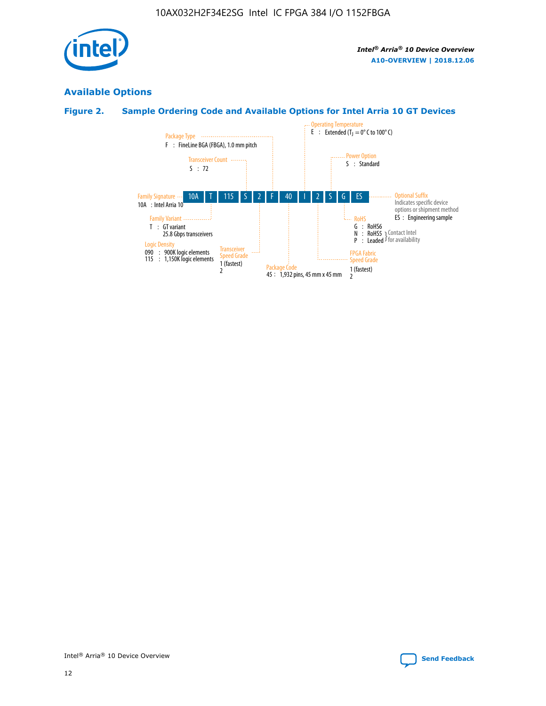

## **Available Options**

## **Figure 2. Sample Ordering Code and Available Options for Intel Arria 10 GT Devices**

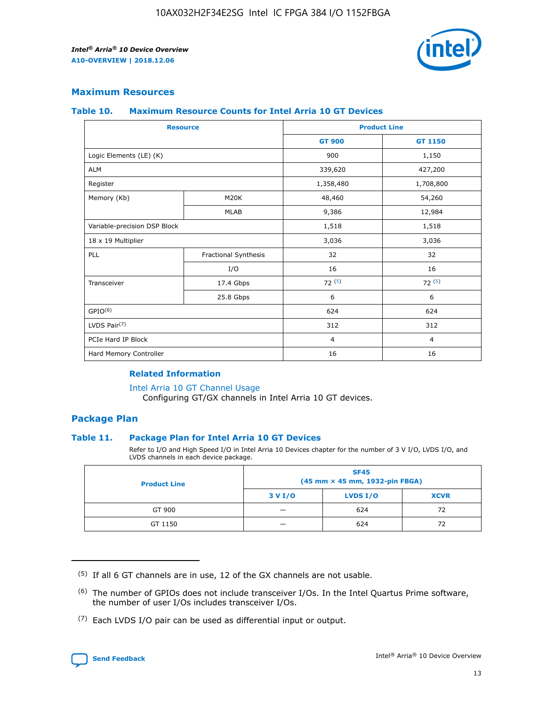

## **Maximum Resources**

#### **Table 10. Maximum Resource Counts for Intel Arria 10 GT Devices**

| <b>Resource</b>              |                      |                | <b>Product Line</b> |  |
|------------------------------|----------------------|----------------|---------------------|--|
|                              |                      | <b>GT 900</b>  | <b>GT 1150</b>      |  |
| Logic Elements (LE) (K)      |                      | 900            | 1,150               |  |
| <b>ALM</b>                   |                      | 339,620        | 427,200             |  |
| Register                     |                      | 1,358,480      | 1,708,800           |  |
| Memory (Kb)                  | M20K                 | 48,460         | 54,260              |  |
|                              | <b>MLAB</b>          | 9,386          | 12,984              |  |
| Variable-precision DSP Block |                      | 1,518          | 1,518               |  |
| 18 x 19 Multiplier           |                      | 3,036          | 3,036               |  |
| <b>PLL</b>                   | Fractional Synthesis | 32             | 32                  |  |
|                              | I/O                  | 16             | 16                  |  |
| Transceiver                  | 17.4 Gbps            | 72(5)          | 72(5)               |  |
|                              | 25.8 Gbps            | 6              | 6                   |  |
| GPIO <sup>(6)</sup>          |                      | 624            | 624                 |  |
| LVDS Pair $(7)$              |                      | 312            | 312                 |  |
| PCIe Hard IP Block           |                      | $\overline{4}$ | $\overline{4}$      |  |
| Hard Memory Controller       |                      | 16             | 16                  |  |

### **Related Information**

#### [Intel Arria 10 GT Channel Usage](https://www.intel.com/content/www/us/en/programmable/documentation/nik1398707230472.html#nik1398707008178)

Configuring GT/GX channels in Intel Arria 10 GT devices.

## **Package Plan**

#### **Table 11. Package Plan for Intel Arria 10 GT Devices**

Refer to I/O and High Speed I/O in Intel Arria 10 Devices chapter for the number of 3 V I/O, LVDS I/O, and LVDS channels in each device package.

| <b>Product Line</b> | <b>SF45</b><br>(45 mm × 45 mm, 1932-pin FBGA) |                 |             |  |  |  |
|---------------------|-----------------------------------------------|-----------------|-------------|--|--|--|
|                     | 3 V I/O                                       | <b>LVDS I/O</b> | <b>XCVR</b> |  |  |  |
| GT 900              |                                               | 624             | 72          |  |  |  |
| GT 1150             |                                               | 624             | 72          |  |  |  |

<sup>(7)</sup> Each LVDS I/O pair can be used as differential input or output.



 $(5)$  If all 6 GT channels are in use, 12 of the GX channels are not usable.

<sup>(6)</sup> The number of GPIOs does not include transceiver I/Os. In the Intel Quartus Prime software, the number of user I/Os includes transceiver I/Os.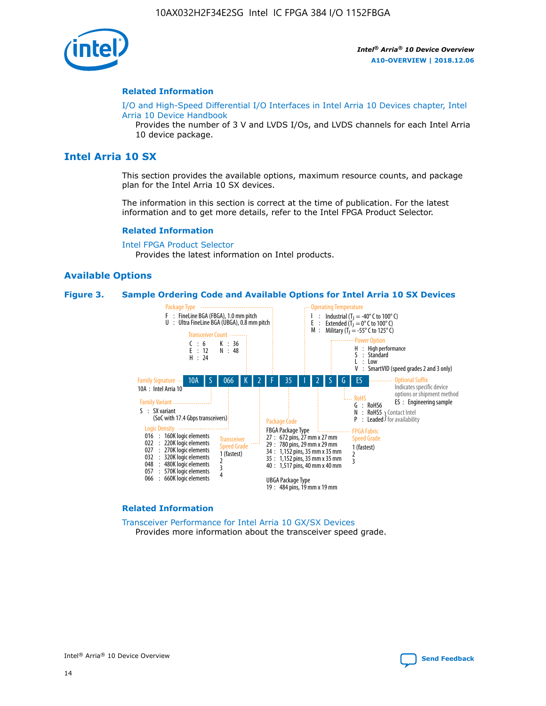

#### **Related Information**

[I/O and High-Speed Differential I/O Interfaces in Intel Arria 10 Devices chapter, Intel](https://www.intel.com/content/www/us/en/programmable/documentation/sam1403482614086.html#sam1403482030321) [Arria 10 Device Handbook](https://www.intel.com/content/www/us/en/programmable/documentation/sam1403482614086.html#sam1403482030321)

Provides the number of 3 V and LVDS I/Os, and LVDS channels for each Intel Arria 10 device package.

## **Intel Arria 10 SX**

This section provides the available options, maximum resource counts, and package plan for the Intel Arria 10 SX devices.

The information in this section is correct at the time of publication. For the latest information and to get more details, refer to the Intel FPGA Product Selector.

#### **Related Information**

[Intel FPGA Product Selector](http://www.altera.com/products/selector/psg-selector.html) Provides the latest information on Intel products.

#### **Available Options**

#### **Figure 3. Sample Ordering Code and Available Options for Intel Arria 10 SX Devices**



#### **Related Information**

[Transceiver Performance for Intel Arria 10 GX/SX Devices](https://www.intel.com/content/www/us/en/programmable/documentation/mcn1413182292568.html#mcn1413213965502) Provides more information about the transceiver speed grade.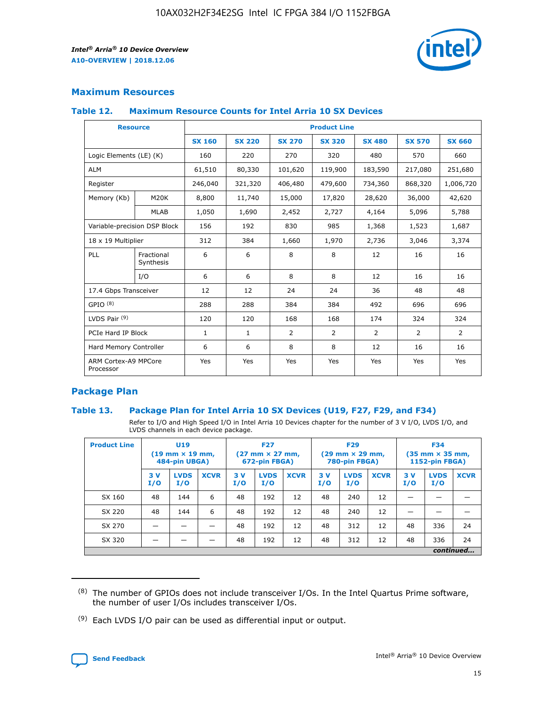

## **Maximum Resources**

#### **Table 12. Maximum Resource Counts for Intel Arria 10 SX Devices**

| <b>Resource</b>                   |                         | <b>Product Line</b> |               |                |                |                |                |                |  |  |  |
|-----------------------------------|-------------------------|---------------------|---------------|----------------|----------------|----------------|----------------|----------------|--|--|--|
|                                   |                         | <b>SX 160</b>       | <b>SX 220</b> | <b>SX 270</b>  | <b>SX 320</b>  | <b>SX 480</b>  | <b>SX 570</b>  | <b>SX 660</b>  |  |  |  |
| Logic Elements (LE) (K)           |                         | 160                 | 220           | 270            | 320            | 480            | 570            | 660            |  |  |  |
| <b>ALM</b>                        |                         | 61,510              | 80,330        | 101,620        | 119,900        | 183,590        | 217,080        | 251,680        |  |  |  |
| Register                          |                         | 246,040             | 321,320       | 406,480        | 479,600        | 734,360        | 868,320        | 1,006,720      |  |  |  |
| Memory (Kb)                       | <b>M20K</b>             | 8,800               | 11,740        | 15,000         | 17,820         | 28,620         | 36,000         | 42,620         |  |  |  |
|                                   | <b>MLAB</b>             | 1,050               | 1,690         | 2,452          | 2,727          | 4,164          | 5,096          | 5,788          |  |  |  |
| Variable-precision DSP Block      |                         | 156                 | 192           | 830            | 985            | 1,368          | 1,523          | 1,687          |  |  |  |
| 18 x 19 Multiplier                |                         | 312                 | 384           | 1,660          | 1,970          | 2,736          | 3,046          | 3,374          |  |  |  |
| PLL                               | Fractional<br>Synthesis | 6                   | 6             | 8              | 8              | 12             | 16             | 16             |  |  |  |
|                                   | I/O                     | 6                   | 6             | 8              | 8              | 12             | 16             | 16             |  |  |  |
| 17.4 Gbps Transceiver             |                         | 12                  | 12            | 24             | 24             | 36             | 48             | 48             |  |  |  |
| GPIO <sup>(8)</sup>               |                         | 288                 | 288           | 384            | 384            | 492            | 696            | 696            |  |  |  |
| LVDS Pair $(9)$                   |                         | 120                 | 120           | 168            | 168            | 174            | 324            | 324            |  |  |  |
| PCIe Hard IP Block                |                         | $\mathbf{1}$        | $\mathbf{1}$  | $\overline{2}$ | $\overline{2}$ | $\overline{2}$ | $\overline{2}$ | $\overline{2}$ |  |  |  |
| Hard Memory Controller            |                         | 6                   | 6             | 8              | 8              | 12             | 16             | 16             |  |  |  |
| ARM Cortex-A9 MPCore<br>Processor |                         | Yes                 | Yes           | Yes            | Yes            | Yes            | Yes            | <b>Yes</b>     |  |  |  |

## **Package Plan**

#### **Table 13. Package Plan for Intel Arria 10 SX Devices (U19, F27, F29, and F34)**

Refer to I/O and High Speed I/O in Intel Arria 10 Devices chapter for the number of 3 V I/O, LVDS I/O, and LVDS channels in each device package.

| <b>Product Line</b> | <b>U19</b><br>$(19 \text{ mm} \times 19 \text{ mm})$<br>484-pin UBGA) |                    |             | <b>F27</b><br>$(27 \text{ mm} \times 27 \text{ mm})$<br>672-pin FBGA) |                    | <b>F29</b><br>$(29 \text{ mm} \times 29 \text{ mm})$<br>780-pin FBGA) |           |                    | <b>F34</b><br>$(35 \text{ mm} \times 35 \text{ mm})$<br><b>1152-pin FBGA)</b> |           |                    |             |
|---------------------|-----------------------------------------------------------------------|--------------------|-------------|-----------------------------------------------------------------------|--------------------|-----------------------------------------------------------------------|-----------|--------------------|-------------------------------------------------------------------------------|-----------|--------------------|-------------|
|                     | 3V<br>I/O                                                             | <b>LVDS</b><br>I/O | <b>XCVR</b> | 3V<br>I/O                                                             | <b>LVDS</b><br>I/O | <b>XCVR</b>                                                           | 3V<br>I/O | <b>LVDS</b><br>I/O | <b>XCVR</b>                                                                   | 3V<br>I/O | <b>LVDS</b><br>I/O | <b>XCVR</b> |
| SX 160              | 48                                                                    | 144                | 6           | 48                                                                    | 192                | 12                                                                    | 48        | 240                | 12                                                                            | -         |                    |             |
| SX 220              | 48                                                                    | 144                | 6           | 48                                                                    | 192                | 12                                                                    | 48        | 240                | 12                                                                            |           |                    |             |
| SX 270              |                                                                       |                    |             | 48                                                                    | 192                | 12                                                                    | 48        | 312                | 12                                                                            | 48        | 336                | 24          |
| SX 320              |                                                                       |                    |             | 48                                                                    | 192                | 12                                                                    | 48        | 312                | 12                                                                            | 48        | 336                | 24          |
|                     | continued                                                             |                    |             |                                                                       |                    |                                                                       |           |                    |                                                                               |           |                    |             |

 $(8)$  The number of GPIOs does not include transceiver I/Os. In the Intel Quartus Prime software, the number of user I/Os includes transceiver I/Os.

 $(9)$  Each LVDS I/O pair can be used as differential input or output.

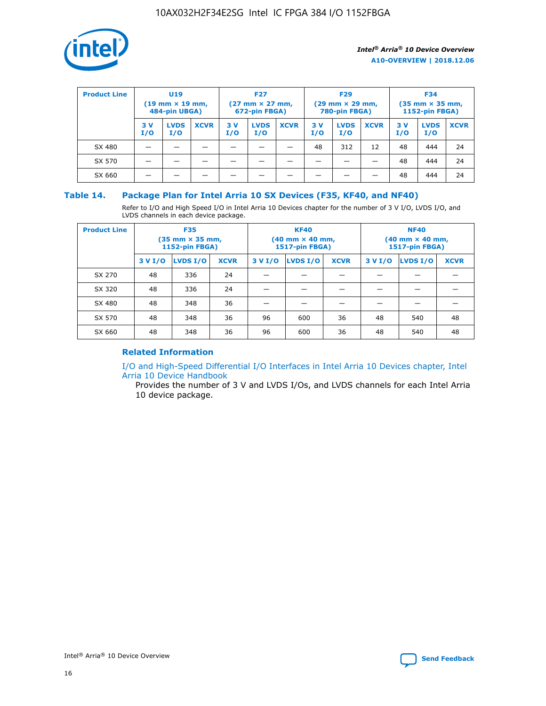

| <b>Product Line</b> | U <sub>19</sub><br>$(19$ mm $\times$ 19 mm,<br>484-pin UBGA) |                    | <b>F27</b><br>$(27 \text{ mm} \times 27 \text{ mm})$<br>672-pin FBGA) |           |                    | <b>F29</b><br>$(29 \text{ mm} \times 29 \text{ mm})$<br>780-pin FBGA) |           |                    | <b>F34</b><br>$(35$ mm $\times$ 35 mm,<br>1152-pin FBGA) |           |                    |             |
|---------------------|--------------------------------------------------------------|--------------------|-----------------------------------------------------------------------|-----------|--------------------|-----------------------------------------------------------------------|-----------|--------------------|----------------------------------------------------------|-----------|--------------------|-------------|
|                     | 3 V<br>I/O                                                   | <b>LVDS</b><br>I/O | <b>XCVR</b>                                                           | 3V<br>I/O | <b>LVDS</b><br>I/O | <b>XCVR</b>                                                           | 3V<br>I/O | <b>LVDS</b><br>I/O | <b>XCVR</b>                                              | 3V<br>I/O | <b>LVDS</b><br>I/O | <b>XCVR</b> |
| SX 480              |                                                              |                    |                                                                       |           |                    |                                                                       | 48        | 312                | 12                                                       | 48        | 444                | 24          |
| SX 570              |                                                              |                    |                                                                       |           |                    |                                                                       |           |                    |                                                          | 48        | 444                | 24          |
| SX 660              |                                                              |                    |                                                                       |           |                    |                                                                       |           |                    |                                                          | 48        | 444                | 24          |

## **Table 14. Package Plan for Intel Arria 10 SX Devices (F35, KF40, and NF40)**

Refer to I/O and High Speed I/O in Intel Arria 10 Devices chapter for the number of 3 V I/O, LVDS I/O, and LVDS channels in each device package.

| <b>Product Line</b> | <b>F35</b><br>$(35 \text{ mm} \times 35 \text{ mm})$<br><b>1152-pin FBGA)</b> |          |             |                                           | <b>KF40</b><br>(40 mm × 40 mm,<br>1517-pin FBGA) |    | <b>NF40</b><br>$(40 \text{ mm} \times 40 \text{ mm})$<br>1517-pin FBGA) |          |             |  |
|---------------------|-------------------------------------------------------------------------------|----------|-------------|-------------------------------------------|--------------------------------------------------|----|-------------------------------------------------------------------------|----------|-------------|--|
|                     | 3 V I/O                                                                       | LVDS I/O | <b>XCVR</b> | <b>LVDS I/O</b><br><b>XCVR</b><br>3 V I/O |                                                  |    | 3 V I/O                                                                 | LVDS I/O | <b>XCVR</b> |  |
| SX 270              | 48                                                                            | 336      | 24          |                                           |                                                  |    |                                                                         |          |             |  |
| SX 320              | 48                                                                            | 336      | 24          |                                           |                                                  |    |                                                                         |          |             |  |
| SX 480              | 48                                                                            | 348      | 36          |                                           |                                                  |    |                                                                         |          |             |  |
| SX 570              | 48                                                                            | 348      | 36          | 96                                        | 600                                              | 36 | 48                                                                      | 540      | 48          |  |
| SX 660              | 48                                                                            | 348      | 36          | 96                                        | 600                                              | 36 | 48                                                                      | 540      | 48          |  |

## **Related Information**

[I/O and High-Speed Differential I/O Interfaces in Intel Arria 10 Devices chapter, Intel](https://www.intel.com/content/www/us/en/programmable/documentation/sam1403482614086.html#sam1403482030321) [Arria 10 Device Handbook](https://www.intel.com/content/www/us/en/programmable/documentation/sam1403482614086.html#sam1403482030321)

Provides the number of 3 V and LVDS I/Os, and LVDS channels for each Intel Arria 10 device package.

Intel<sup>®</sup> Arria<sup>®</sup> 10 Device Overview **[Send Feedback](mailto:FPGAtechdocfeedback@intel.com?subject=Feedback%20on%20Intel%20Arria%2010%20Device%20Overview%20(A10-OVERVIEW%202018.12.06)&body=We%20appreciate%20your%20feedback.%20In%20your%20comments,%20also%20specify%20the%20page%20number%20or%20paragraph.%20Thank%20you.)** Send Feedback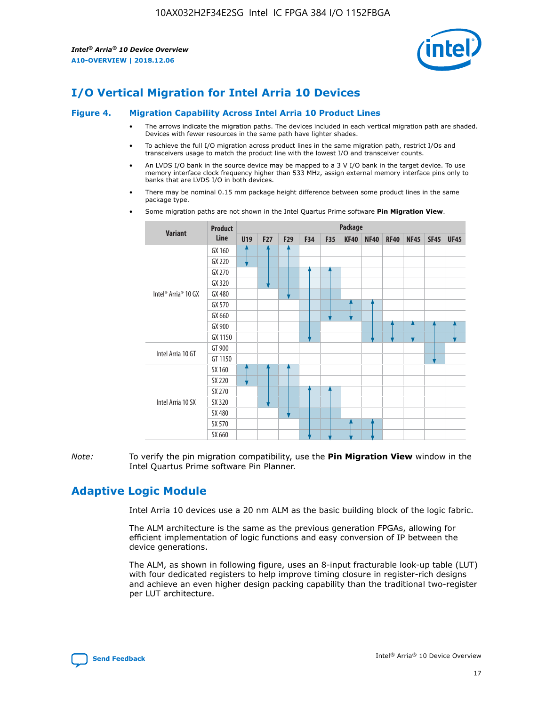

# **I/O Vertical Migration for Intel Arria 10 Devices**

#### **Figure 4. Migration Capability Across Intel Arria 10 Product Lines**

- The arrows indicate the migration paths. The devices included in each vertical migration path are shaded. Devices with fewer resources in the same path have lighter shades.
- To achieve the full I/O migration across product lines in the same migration path, restrict I/Os and transceivers usage to match the product line with the lowest I/O and transceiver counts.
- An LVDS I/O bank in the source device may be mapped to a 3 V I/O bank in the target device. To use memory interface clock frequency higher than 533 MHz, assign external memory interface pins only to banks that are LVDS I/O in both devices.
- There may be nominal 0.15 mm package height difference between some product lines in the same package type.
	- **Variant Product Line Package U19 F27 F29 F34 F35 KF40 NF40 RF40 NF45 SF45 UF45** Intel® Arria® 10 GX GX 160 GX 220 GX 270 GX 320 GX 480 GX 570 GX 660 GX 900 GX 1150 Intel Arria 10 GT GT 900 GT 1150 Intel Arria 10 SX SX 160 SX 220 SX 270 SX 320 SX 480 SX 570 SX 660
- Some migration paths are not shown in the Intel Quartus Prime software **Pin Migration View**.

*Note:* To verify the pin migration compatibility, use the **Pin Migration View** window in the Intel Quartus Prime software Pin Planner.

# **Adaptive Logic Module**

Intel Arria 10 devices use a 20 nm ALM as the basic building block of the logic fabric.

The ALM architecture is the same as the previous generation FPGAs, allowing for efficient implementation of logic functions and easy conversion of IP between the device generations.

The ALM, as shown in following figure, uses an 8-input fracturable look-up table (LUT) with four dedicated registers to help improve timing closure in register-rich designs and achieve an even higher design packing capability than the traditional two-register per LUT architecture.

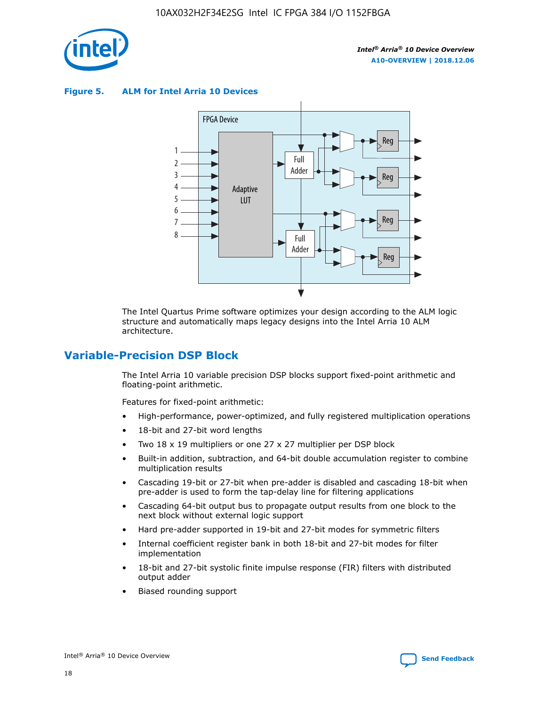

**Figure 5. ALM for Intel Arria 10 Devices**



The Intel Quartus Prime software optimizes your design according to the ALM logic structure and automatically maps legacy designs into the Intel Arria 10 ALM architecture.

## **Variable-Precision DSP Block**

The Intel Arria 10 variable precision DSP blocks support fixed-point arithmetic and floating-point arithmetic.

Features for fixed-point arithmetic:

- High-performance, power-optimized, and fully registered multiplication operations
- 18-bit and 27-bit word lengths
- Two 18 x 19 multipliers or one 27 x 27 multiplier per DSP block
- Built-in addition, subtraction, and 64-bit double accumulation register to combine multiplication results
- Cascading 19-bit or 27-bit when pre-adder is disabled and cascading 18-bit when pre-adder is used to form the tap-delay line for filtering applications
- Cascading 64-bit output bus to propagate output results from one block to the next block without external logic support
- Hard pre-adder supported in 19-bit and 27-bit modes for symmetric filters
- Internal coefficient register bank in both 18-bit and 27-bit modes for filter implementation
- 18-bit and 27-bit systolic finite impulse response (FIR) filters with distributed output adder
- Biased rounding support

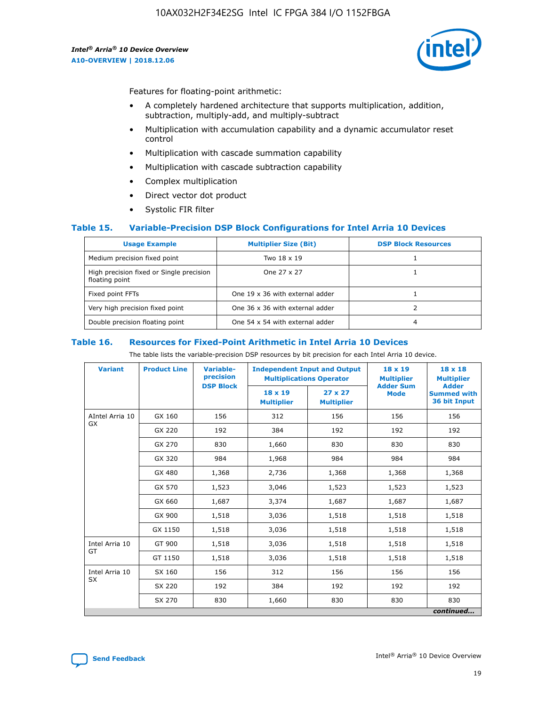

Features for floating-point arithmetic:

- A completely hardened architecture that supports multiplication, addition, subtraction, multiply-add, and multiply-subtract
- Multiplication with accumulation capability and a dynamic accumulator reset control
- Multiplication with cascade summation capability
- Multiplication with cascade subtraction capability
- Complex multiplication
- Direct vector dot product
- Systolic FIR filter

#### **Table 15. Variable-Precision DSP Block Configurations for Intel Arria 10 Devices**

| <b>Usage Example</b>                                       | <b>Multiplier Size (Bit)</b>    | <b>DSP Block Resources</b> |
|------------------------------------------------------------|---------------------------------|----------------------------|
| Medium precision fixed point                               | Two 18 x 19                     |                            |
| High precision fixed or Single precision<br>floating point | One 27 x 27                     |                            |
| Fixed point FFTs                                           | One 19 x 36 with external adder |                            |
| Very high precision fixed point                            | One 36 x 36 with external adder |                            |
| Double precision floating point                            | One 54 x 54 with external adder | 4                          |

#### **Table 16. Resources for Fixed-Point Arithmetic in Intel Arria 10 Devices**

The table lists the variable-precision DSP resources by bit precision for each Intel Arria 10 device.

| <b>Variant</b>        | <b>Product Line</b> | Variable-<br>precision<br><b>DSP Block</b> | <b>Independent Input and Output</b><br><b>Multiplications Operator</b> |                                     | 18 x 19<br><b>Multiplier</b><br><b>Adder Sum</b> | $18 \times 18$<br><b>Multiplier</b><br><b>Adder</b> |
|-----------------------|---------------------|--------------------------------------------|------------------------------------------------------------------------|-------------------------------------|--------------------------------------------------|-----------------------------------------------------|
|                       |                     |                                            | 18 x 19<br><b>Multiplier</b>                                           | $27 \times 27$<br><b>Multiplier</b> | <b>Mode</b>                                      | <b>Summed with</b><br>36 bit Input                  |
| AIntel Arria 10<br>GX | GX 160              | 156                                        | 312                                                                    | 156                                 | 156                                              | 156                                                 |
|                       | GX 220              | 192                                        | 384                                                                    | 192                                 | 192                                              | 192                                                 |
|                       | GX 270              | 830                                        | 1,660                                                                  | 830                                 | 830                                              | 830                                                 |
|                       | GX 320              | 984                                        | 1,968                                                                  | 984                                 | 984                                              | 984                                                 |
|                       | GX 480              | 1,368                                      | 2,736                                                                  | 1,368                               | 1,368                                            | 1,368                                               |
|                       | GX 570              | 1,523                                      | 3,046                                                                  | 1,523                               | 1,523                                            | 1,523                                               |
|                       | GX 660              | 1,687                                      | 3,374                                                                  | 1,687                               | 1,687                                            | 1,687                                               |
|                       | GX 900              | 1,518                                      | 3,036                                                                  | 1,518                               | 1,518                                            | 1,518                                               |
|                       | GX 1150             | 1,518                                      | 3,036                                                                  | 1,518                               | 1,518                                            | 1,518                                               |
| Intel Arria 10        | GT 900              | 1,518                                      | 3,036                                                                  | 1,518                               | 1,518                                            | 1,518                                               |
| GT                    | GT 1150             | 1,518                                      | 3,036                                                                  | 1,518                               | 1,518                                            | 1,518                                               |
| Intel Arria 10        | SX 160              | 156                                        | 312                                                                    | 156                                 | 156                                              | 156                                                 |
| <b>SX</b>             | SX 220              | 192                                        | 384                                                                    | 192                                 | 192                                              | 192                                                 |
|                       | SX 270              | 830                                        | 1,660                                                                  | 830                                 | 830                                              | 830                                                 |
|                       |                     |                                            |                                                                        |                                     |                                                  | continued                                           |

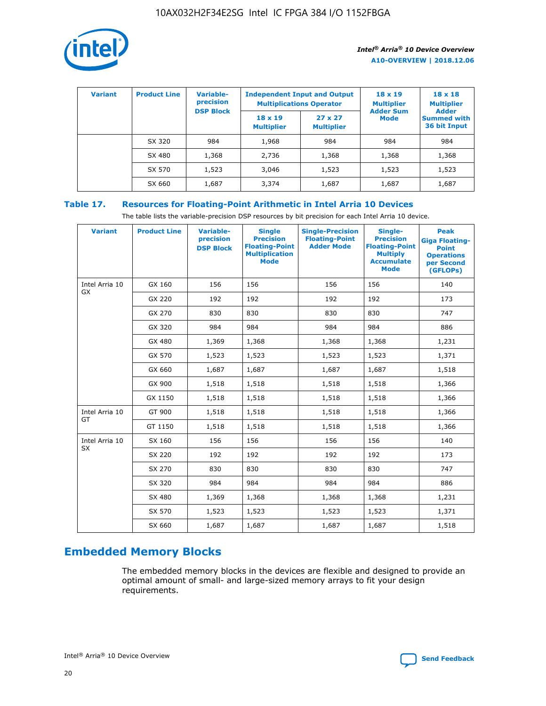

| <b>Variant</b> | <b>Product Line</b> | <b>Variable-</b><br>precision<br><b>DSP Block</b> | <b>Independent Input and Output</b><br><b>Multiplications Operator</b> |                                     | $18 \times 19$<br><b>Multiplier</b><br><b>Adder Sum</b> | $18 \times 18$<br><b>Multiplier</b><br><b>Adder</b> |  |
|----------------|---------------------|---------------------------------------------------|------------------------------------------------------------------------|-------------------------------------|---------------------------------------------------------|-----------------------------------------------------|--|
|                |                     |                                                   | $18 \times 19$<br><b>Multiplier</b>                                    | $27 \times 27$<br><b>Multiplier</b> | <b>Mode</b>                                             | <b>Summed with</b><br>36 bit Input                  |  |
|                | SX 320              | 984                                               | 1,968                                                                  | 984                                 | 984                                                     | 984                                                 |  |
|                | SX 480              | 1,368                                             | 2,736                                                                  | 1,368                               | 1,368                                                   | 1,368                                               |  |
|                | SX 570              | 1,523                                             | 3,046                                                                  | 1,523                               | 1,523                                                   | 1,523                                               |  |
|                | SX 660              | 1,687                                             | 3,374                                                                  | 1,687                               | 1,687                                                   | 1,687                                               |  |

## **Table 17. Resources for Floating-Point Arithmetic in Intel Arria 10 Devices**

The table lists the variable-precision DSP resources by bit precision for each Intel Arria 10 device.

| <b>Variant</b> | <b>Product Line</b> | <b>Variable-</b><br>precision<br><b>DSP Block</b> | <b>Single</b><br><b>Precision</b><br><b>Floating-Point</b><br><b>Multiplication</b><br><b>Mode</b> | <b>Single-Precision</b><br><b>Floating-Point</b><br><b>Adder Mode</b> | Single-<br><b>Precision</b><br><b>Floating-Point</b><br><b>Multiply</b><br><b>Accumulate</b><br><b>Mode</b> | <b>Peak</b><br><b>Giga Floating-</b><br><b>Point</b><br><b>Operations</b><br>per Second<br>(GFLOPs) |
|----------------|---------------------|---------------------------------------------------|----------------------------------------------------------------------------------------------------|-----------------------------------------------------------------------|-------------------------------------------------------------------------------------------------------------|-----------------------------------------------------------------------------------------------------|
| Intel Arria 10 | GX 160              | 156                                               | 156                                                                                                | 156                                                                   | 156                                                                                                         | 140                                                                                                 |
| GX             | GX 220              | 192                                               | 192                                                                                                | 192                                                                   | 192                                                                                                         | 173                                                                                                 |
|                | GX 270              | 830                                               | 830                                                                                                | 830                                                                   | 830                                                                                                         | 747                                                                                                 |
|                | GX 320              | 984                                               | 984                                                                                                | 984                                                                   | 984                                                                                                         | 886                                                                                                 |
|                | GX 480              | 1,369                                             | 1,368                                                                                              | 1,368                                                                 | 1,368                                                                                                       | 1,231                                                                                               |
|                | GX 570              | 1,523                                             | 1,523                                                                                              | 1,523                                                                 | 1,523                                                                                                       | 1,371                                                                                               |
|                | GX 660              | 1,687                                             | 1,687                                                                                              | 1,687                                                                 | 1,687                                                                                                       | 1,518                                                                                               |
|                | GX 900              | 1,518                                             | 1,518                                                                                              | 1,518                                                                 | 1,518                                                                                                       | 1,366                                                                                               |
|                | GX 1150             | 1,518                                             | 1,518                                                                                              | 1,518                                                                 | 1,518                                                                                                       | 1,366                                                                                               |
| Intel Arria 10 | GT 900              | 1,518                                             | 1,518                                                                                              | 1,518                                                                 | 1,518                                                                                                       | 1,366                                                                                               |
| GT             | GT 1150             | 1,518                                             | 1,518                                                                                              | 1,518                                                                 | 1,518                                                                                                       | 1,366                                                                                               |
| Intel Arria 10 | SX 160              | 156                                               | 156                                                                                                | 156                                                                   | 156                                                                                                         | 140                                                                                                 |
| SX             | SX 220              | 192                                               | 192                                                                                                | 192                                                                   | 192                                                                                                         | 173                                                                                                 |
|                | SX 270              | 830                                               | 830                                                                                                | 830                                                                   | 830                                                                                                         | 747                                                                                                 |
|                | SX 320              | 984                                               | 984                                                                                                | 984                                                                   | 984                                                                                                         | 886                                                                                                 |
|                | SX 480              | 1,369                                             | 1,368                                                                                              | 1,368                                                                 | 1,368                                                                                                       | 1,231                                                                                               |
|                | SX 570              | 1,523                                             | 1,523                                                                                              | 1,523                                                                 | 1,523                                                                                                       | 1,371                                                                                               |
|                | SX 660              | 1,687                                             | 1,687                                                                                              | 1,687                                                                 | 1,687                                                                                                       | 1,518                                                                                               |

# **Embedded Memory Blocks**

The embedded memory blocks in the devices are flexible and designed to provide an optimal amount of small- and large-sized memory arrays to fit your design requirements.

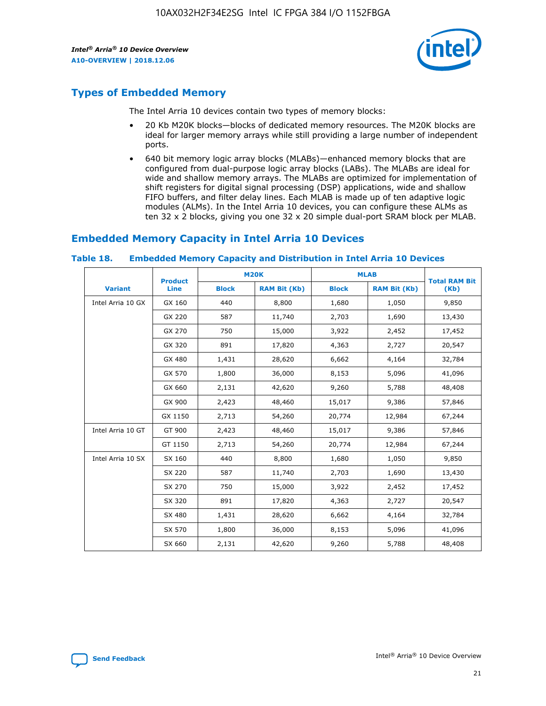

## **Types of Embedded Memory**

The Intel Arria 10 devices contain two types of memory blocks:

- 20 Kb M20K blocks—blocks of dedicated memory resources. The M20K blocks are ideal for larger memory arrays while still providing a large number of independent ports.
- 640 bit memory logic array blocks (MLABs)—enhanced memory blocks that are configured from dual-purpose logic array blocks (LABs). The MLABs are ideal for wide and shallow memory arrays. The MLABs are optimized for implementation of shift registers for digital signal processing (DSP) applications, wide and shallow FIFO buffers, and filter delay lines. Each MLAB is made up of ten adaptive logic modules (ALMs). In the Intel Arria 10 devices, you can configure these ALMs as ten 32 x 2 blocks, giving you one 32 x 20 simple dual-port SRAM block per MLAB.

## **Embedded Memory Capacity in Intel Arria 10 Devices**

|                   | <b>Product</b> |              | <b>M20K</b>         | <b>MLAB</b>  |                     | <b>Total RAM Bit</b> |
|-------------------|----------------|--------------|---------------------|--------------|---------------------|----------------------|
| <b>Variant</b>    | <b>Line</b>    | <b>Block</b> | <b>RAM Bit (Kb)</b> | <b>Block</b> | <b>RAM Bit (Kb)</b> | (Kb)                 |
| Intel Arria 10 GX | GX 160         | 440          | 8,800               | 1,680        | 1,050               | 9,850                |
|                   | GX 220         | 587          | 11,740              | 2,703        | 1,690               | 13,430               |
|                   | GX 270         | 750          | 15,000              | 3,922        | 2,452               | 17,452               |
|                   | GX 320         | 891          | 17,820              | 4,363        | 2,727               | 20,547               |
|                   | GX 480         | 1,431        | 28,620              | 6,662        | 4,164               | 32,784               |
|                   | GX 570         | 1,800        | 36,000              | 8,153        | 5,096               | 41,096               |
|                   | GX 660         | 2,131        | 42,620              | 9,260        | 5,788               | 48,408               |
|                   | GX 900         | 2,423        | 48,460              | 15,017       | 9,386               | 57,846               |
|                   | GX 1150        | 2,713        | 54,260              | 20,774       | 12,984              | 67,244               |
| Intel Arria 10 GT | GT 900         | 2,423        | 48,460              | 15,017       | 9,386               | 57,846               |
|                   | GT 1150        | 2,713        | 54,260              | 20,774       | 12,984              | 67,244               |
| Intel Arria 10 SX | SX 160         | 440          | 8,800               | 1,680        | 1,050               | 9,850                |
|                   | SX 220         | 587          | 11,740              | 2,703        | 1,690               | 13,430               |
|                   | SX 270         | 750          | 15,000              | 3,922        | 2,452               | 17,452               |
|                   | SX 320         | 891          | 17,820              | 4,363        | 2,727               | 20,547               |
|                   | SX 480         | 1,431        | 28,620              | 6,662        | 4,164               | 32,784               |
|                   | SX 570         | 1,800        | 36,000              | 8,153        | 5,096               | 41,096               |
|                   | SX 660         | 2,131        | 42,620              | 9,260        | 5,788               | 48,408               |

#### **Table 18. Embedded Memory Capacity and Distribution in Intel Arria 10 Devices**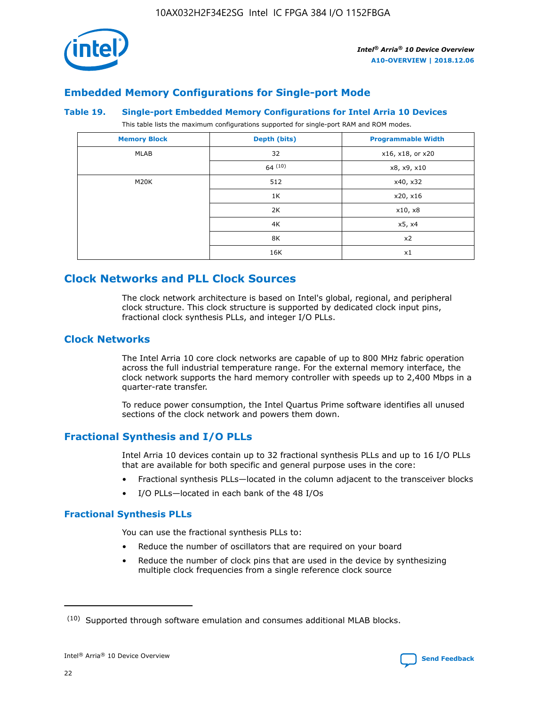

## **Embedded Memory Configurations for Single-port Mode**

#### **Table 19. Single-port Embedded Memory Configurations for Intel Arria 10 Devices**

This table lists the maximum configurations supported for single-port RAM and ROM modes.

| <b>Memory Block</b> | Depth (bits) | <b>Programmable Width</b> |
|---------------------|--------------|---------------------------|
| MLAB                | 32           | x16, x18, or x20          |
|                     | 64(10)       | x8, x9, x10               |
| M20K                | 512          | x40, x32                  |
|                     | 1K           | x20, x16                  |
|                     | 2K           | x10, x8                   |
|                     | 4K           | x5, x4                    |
|                     | 8K           | x2                        |
|                     | 16K          | x1                        |

# **Clock Networks and PLL Clock Sources**

The clock network architecture is based on Intel's global, regional, and peripheral clock structure. This clock structure is supported by dedicated clock input pins, fractional clock synthesis PLLs, and integer I/O PLLs.

## **Clock Networks**

The Intel Arria 10 core clock networks are capable of up to 800 MHz fabric operation across the full industrial temperature range. For the external memory interface, the clock network supports the hard memory controller with speeds up to 2,400 Mbps in a quarter-rate transfer.

To reduce power consumption, the Intel Quartus Prime software identifies all unused sections of the clock network and powers them down.

## **Fractional Synthesis and I/O PLLs**

Intel Arria 10 devices contain up to 32 fractional synthesis PLLs and up to 16 I/O PLLs that are available for both specific and general purpose uses in the core:

- Fractional synthesis PLLs—located in the column adjacent to the transceiver blocks
- I/O PLLs—located in each bank of the 48 I/Os

## **Fractional Synthesis PLLs**

You can use the fractional synthesis PLLs to:

- Reduce the number of oscillators that are required on your board
- Reduce the number of clock pins that are used in the device by synthesizing multiple clock frequencies from a single reference clock source

<sup>(10)</sup> Supported through software emulation and consumes additional MLAB blocks.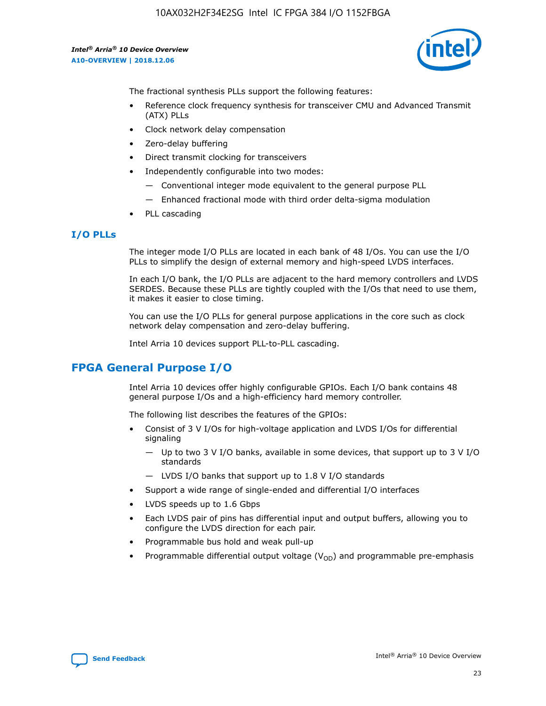

The fractional synthesis PLLs support the following features:

- Reference clock frequency synthesis for transceiver CMU and Advanced Transmit (ATX) PLLs
- Clock network delay compensation
- Zero-delay buffering
- Direct transmit clocking for transceivers
- Independently configurable into two modes:
	- Conventional integer mode equivalent to the general purpose PLL
	- Enhanced fractional mode with third order delta-sigma modulation
- PLL cascading

#### **I/O PLLs**

The integer mode I/O PLLs are located in each bank of 48 I/Os. You can use the I/O PLLs to simplify the design of external memory and high-speed LVDS interfaces.

In each I/O bank, the I/O PLLs are adjacent to the hard memory controllers and LVDS SERDES. Because these PLLs are tightly coupled with the I/Os that need to use them, it makes it easier to close timing.

You can use the I/O PLLs for general purpose applications in the core such as clock network delay compensation and zero-delay buffering.

Intel Arria 10 devices support PLL-to-PLL cascading.

## **FPGA General Purpose I/O**

Intel Arria 10 devices offer highly configurable GPIOs. Each I/O bank contains 48 general purpose I/Os and a high-efficiency hard memory controller.

The following list describes the features of the GPIOs:

- Consist of 3 V I/Os for high-voltage application and LVDS I/Os for differential signaling
	- Up to two 3 V I/O banks, available in some devices, that support up to 3 V I/O standards
	- LVDS I/O banks that support up to 1.8 V I/O standards
- Support a wide range of single-ended and differential I/O interfaces
- LVDS speeds up to 1.6 Gbps
- Each LVDS pair of pins has differential input and output buffers, allowing you to configure the LVDS direction for each pair.
- Programmable bus hold and weak pull-up
- Programmable differential output voltage  $(V_{OD})$  and programmable pre-emphasis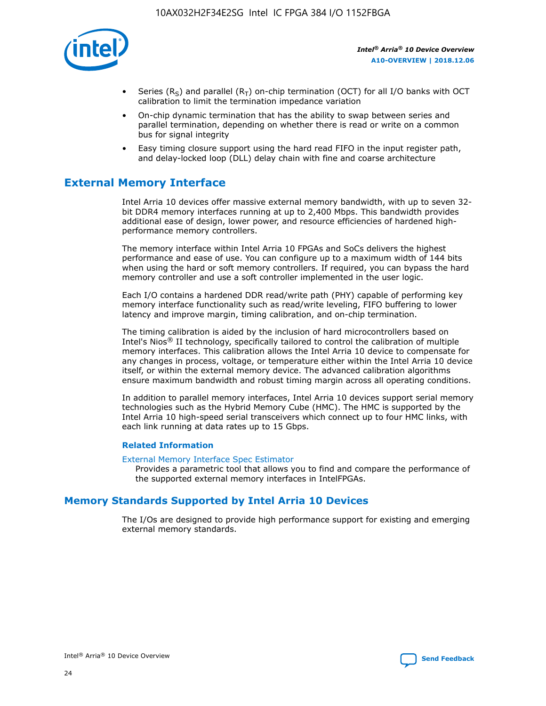

- Series (R<sub>S</sub>) and parallel (R<sub>T</sub>) on-chip termination (OCT) for all I/O banks with OCT calibration to limit the termination impedance variation
- On-chip dynamic termination that has the ability to swap between series and parallel termination, depending on whether there is read or write on a common bus for signal integrity
- Easy timing closure support using the hard read FIFO in the input register path, and delay-locked loop (DLL) delay chain with fine and coarse architecture

# **External Memory Interface**

Intel Arria 10 devices offer massive external memory bandwidth, with up to seven 32 bit DDR4 memory interfaces running at up to 2,400 Mbps. This bandwidth provides additional ease of design, lower power, and resource efficiencies of hardened highperformance memory controllers.

The memory interface within Intel Arria 10 FPGAs and SoCs delivers the highest performance and ease of use. You can configure up to a maximum width of 144 bits when using the hard or soft memory controllers. If required, you can bypass the hard memory controller and use a soft controller implemented in the user logic.

Each I/O contains a hardened DDR read/write path (PHY) capable of performing key memory interface functionality such as read/write leveling, FIFO buffering to lower latency and improve margin, timing calibration, and on-chip termination.

The timing calibration is aided by the inclusion of hard microcontrollers based on Intel's Nios® II technology, specifically tailored to control the calibration of multiple memory interfaces. This calibration allows the Intel Arria 10 device to compensate for any changes in process, voltage, or temperature either within the Intel Arria 10 device itself, or within the external memory device. The advanced calibration algorithms ensure maximum bandwidth and robust timing margin across all operating conditions.

In addition to parallel memory interfaces, Intel Arria 10 devices support serial memory technologies such as the Hybrid Memory Cube (HMC). The HMC is supported by the Intel Arria 10 high-speed serial transceivers which connect up to four HMC links, with each link running at data rates up to 15 Gbps.

#### **Related Information**

#### [External Memory Interface Spec Estimator](http://www.altera.com/technology/memory/estimator/mem-emif-index.html)

Provides a parametric tool that allows you to find and compare the performance of the supported external memory interfaces in IntelFPGAs.

## **Memory Standards Supported by Intel Arria 10 Devices**

The I/Os are designed to provide high performance support for existing and emerging external memory standards.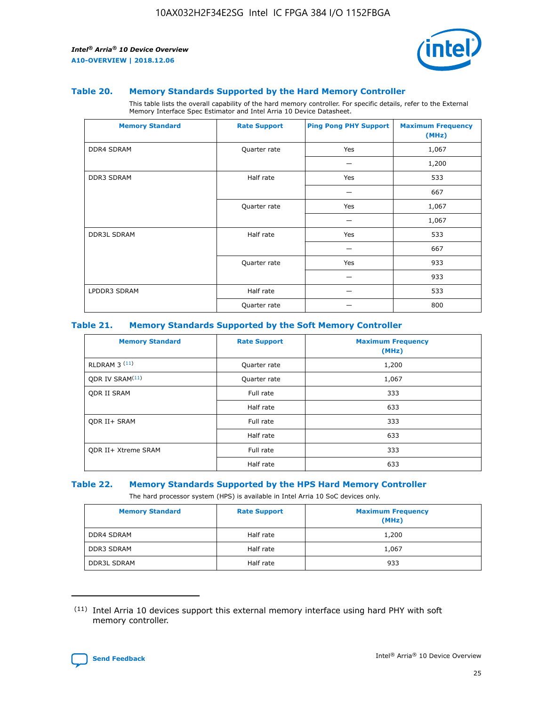

#### **Table 20. Memory Standards Supported by the Hard Memory Controller**

This table lists the overall capability of the hard memory controller. For specific details, refer to the External Memory Interface Spec Estimator and Intel Arria 10 Device Datasheet.

| <b>Memory Standard</b> | <b>Rate Support</b> | <b>Ping Pong PHY Support</b> | <b>Maximum Frequency</b><br>(MHz) |
|------------------------|---------------------|------------------------------|-----------------------------------|
| <b>DDR4 SDRAM</b>      | Quarter rate        | Yes                          | 1,067                             |
|                        |                     |                              | 1,200                             |
| DDR3 SDRAM             | Half rate           | Yes                          | 533                               |
|                        |                     |                              | 667                               |
|                        | Quarter rate        | Yes                          | 1,067                             |
|                        |                     |                              | 1,067                             |
| <b>DDR3L SDRAM</b>     | Half rate           | Yes                          | 533                               |
|                        |                     |                              | 667                               |
|                        | Quarter rate        | Yes                          | 933                               |
|                        |                     |                              | 933                               |
| LPDDR3 SDRAM           | Half rate           |                              | 533                               |
|                        | Quarter rate        |                              | 800                               |

#### **Table 21. Memory Standards Supported by the Soft Memory Controller**

| <b>Memory Standard</b>      | <b>Rate Support</b> | <b>Maximum Frequency</b><br>(MHz) |
|-----------------------------|---------------------|-----------------------------------|
| <b>RLDRAM 3 (11)</b>        | Quarter rate        | 1,200                             |
| ODR IV SRAM <sup>(11)</sup> | Quarter rate        | 1,067                             |
| <b>ODR II SRAM</b>          | Full rate           | 333                               |
|                             | Half rate           | 633                               |
| <b>ODR II+ SRAM</b>         | Full rate           | 333                               |
|                             | Half rate           | 633                               |
| <b>ODR II+ Xtreme SRAM</b>  | Full rate           | 333                               |
|                             | Half rate           | 633                               |

#### **Table 22. Memory Standards Supported by the HPS Hard Memory Controller**

The hard processor system (HPS) is available in Intel Arria 10 SoC devices only.

| <b>Memory Standard</b> | <b>Rate Support</b> | <b>Maximum Frequency</b><br>(MHz) |
|------------------------|---------------------|-----------------------------------|
| <b>DDR4 SDRAM</b>      | Half rate           | 1,200                             |
| <b>DDR3 SDRAM</b>      | Half rate           | 1,067                             |
| <b>DDR3L SDRAM</b>     | Half rate           | 933                               |

<sup>(11)</sup> Intel Arria 10 devices support this external memory interface using hard PHY with soft memory controller.

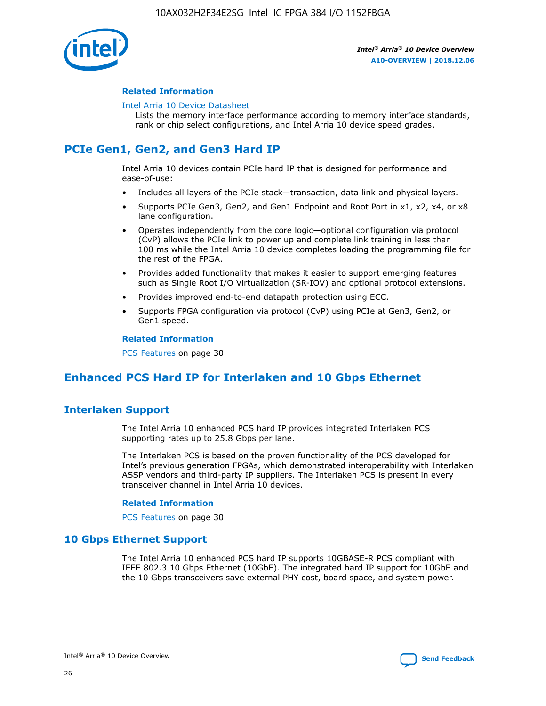

#### **Related Information**

#### [Intel Arria 10 Device Datasheet](https://www.intel.com/content/www/us/en/programmable/documentation/mcn1413182292568.html#mcn1413182153340)

Lists the memory interface performance according to memory interface standards, rank or chip select configurations, and Intel Arria 10 device speed grades.

# **PCIe Gen1, Gen2, and Gen3 Hard IP**

Intel Arria 10 devices contain PCIe hard IP that is designed for performance and ease-of-use:

- Includes all layers of the PCIe stack—transaction, data link and physical layers.
- Supports PCIe Gen3, Gen2, and Gen1 Endpoint and Root Port in x1, x2, x4, or x8 lane configuration.
- Operates independently from the core logic—optional configuration via protocol (CvP) allows the PCIe link to power up and complete link training in less than 100 ms while the Intel Arria 10 device completes loading the programming file for the rest of the FPGA.
- Provides added functionality that makes it easier to support emerging features such as Single Root I/O Virtualization (SR-IOV) and optional protocol extensions.
- Provides improved end-to-end datapath protection using ECC.
- Supports FPGA configuration via protocol (CvP) using PCIe at Gen3, Gen2, or Gen1 speed.

#### **Related Information**

PCS Features on page 30

# **Enhanced PCS Hard IP for Interlaken and 10 Gbps Ethernet**

## **Interlaken Support**

The Intel Arria 10 enhanced PCS hard IP provides integrated Interlaken PCS supporting rates up to 25.8 Gbps per lane.

The Interlaken PCS is based on the proven functionality of the PCS developed for Intel's previous generation FPGAs, which demonstrated interoperability with Interlaken ASSP vendors and third-party IP suppliers. The Interlaken PCS is present in every transceiver channel in Intel Arria 10 devices.

#### **Related Information**

PCS Features on page 30

## **10 Gbps Ethernet Support**

The Intel Arria 10 enhanced PCS hard IP supports 10GBASE-R PCS compliant with IEEE 802.3 10 Gbps Ethernet (10GbE). The integrated hard IP support for 10GbE and the 10 Gbps transceivers save external PHY cost, board space, and system power.

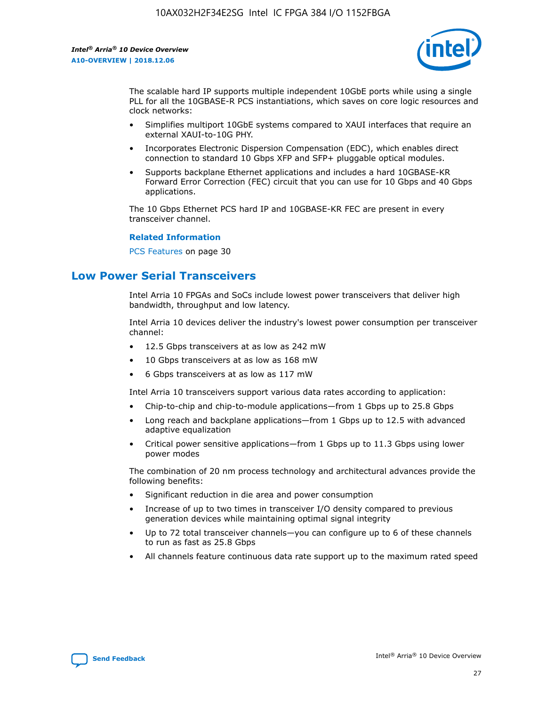

The scalable hard IP supports multiple independent 10GbE ports while using a single PLL for all the 10GBASE-R PCS instantiations, which saves on core logic resources and clock networks:

- Simplifies multiport 10GbE systems compared to XAUI interfaces that require an external XAUI-to-10G PHY.
- Incorporates Electronic Dispersion Compensation (EDC), which enables direct connection to standard 10 Gbps XFP and SFP+ pluggable optical modules.
- Supports backplane Ethernet applications and includes a hard 10GBASE-KR Forward Error Correction (FEC) circuit that you can use for 10 Gbps and 40 Gbps applications.

The 10 Gbps Ethernet PCS hard IP and 10GBASE-KR FEC are present in every transceiver channel.

#### **Related Information**

PCS Features on page 30

# **Low Power Serial Transceivers**

Intel Arria 10 FPGAs and SoCs include lowest power transceivers that deliver high bandwidth, throughput and low latency.

Intel Arria 10 devices deliver the industry's lowest power consumption per transceiver channel:

- 12.5 Gbps transceivers at as low as 242 mW
- 10 Gbps transceivers at as low as 168 mW
- 6 Gbps transceivers at as low as 117 mW

Intel Arria 10 transceivers support various data rates according to application:

- Chip-to-chip and chip-to-module applications—from 1 Gbps up to 25.8 Gbps
- Long reach and backplane applications—from 1 Gbps up to 12.5 with advanced adaptive equalization
- Critical power sensitive applications—from 1 Gbps up to 11.3 Gbps using lower power modes

The combination of 20 nm process technology and architectural advances provide the following benefits:

- Significant reduction in die area and power consumption
- Increase of up to two times in transceiver I/O density compared to previous generation devices while maintaining optimal signal integrity
- Up to 72 total transceiver channels—you can configure up to 6 of these channels to run as fast as 25.8 Gbps
- All channels feature continuous data rate support up to the maximum rated speed

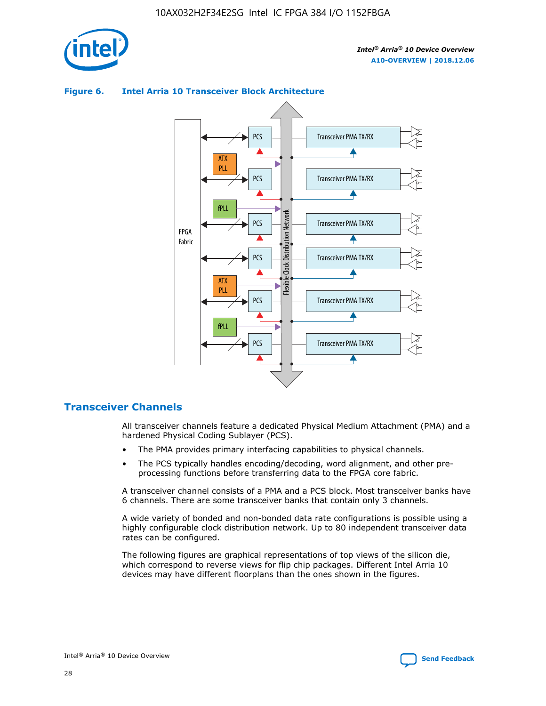

## Transceiver PMA TX/RX PCS ATX PLL Transceiver PMA TX/RX PCS fPLL Network Flexible Clock Distribution Network PCS Transceiver PMA TX/RX FPGA **Clock Distribution** Fabric PCS Transceiver PMA TX/RX ATX Flexible PLL PCS Transceiver PMA TX/RX ▲ fPLL Transceiver PMA TX/RX PCS 4

### **Figure 6. Intel Arria 10 Transceiver Block Architecture**

## **Transceiver Channels**

All transceiver channels feature a dedicated Physical Medium Attachment (PMA) and a hardened Physical Coding Sublayer (PCS).

- The PMA provides primary interfacing capabilities to physical channels.
- The PCS typically handles encoding/decoding, word alignment, and other preprocessing functions before transferring data to the FPGA core fabric.

A transceiver channel consists of a PMA and a PCS block. Most transceiver banks have 6 channels. There are some transceiver banks that contain only 3 channels.

A wide variety of bonded and non-bonded data rate configurations is possible using a highly configurable clock distribution network. Up to 80 independent transceiver data rates can be configured.

The following figures are graphical representations of top views of the silicon die, which correspond to reverse views for flip chip packages. Different Intel Arria 10 devices may have different floorplans than the ones shown in the figures.

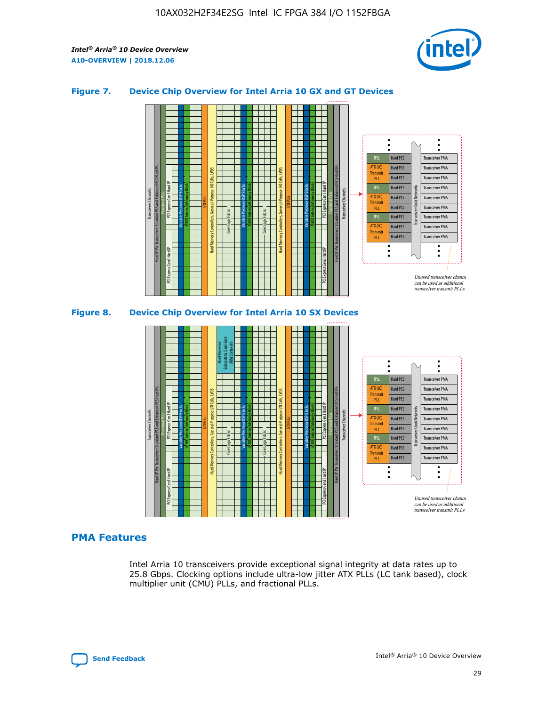

### **Figure 7. Device Chip Overview for Intel Arria 10 GX and GT Devices**





## **PMA Features**

Intel Arria 10 transceivers provide exceptional signal integrity at data rates up to 25.8 Gbps. Clocking options include ultra-low jitter ATX PLLs (LC tank based), clock multiplier unit (CMU) PLLs, and fractional PLLs.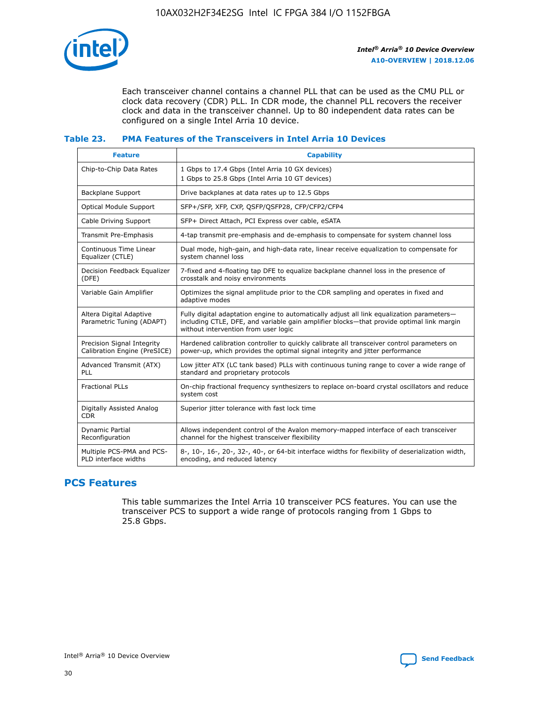

Each transceiver channel contains a channel PLL that can be used as the CMU PLL or clock data recovery (CDR) PLL. In CDR mode, the channel PLL recovers the receiver clock and data in the transceiver channel. Up to 80 independent data rates can be configured on a single Intel Arria 10 device.

### **Table 23. PMA Features of the Transceivers in Intel Arria 10 Devices**

| <b>Feature</b>                                             | <b>Capability</b>                                                                                                                                                                                                             |
|------------------------------------------------------------|-------------------------------------------------------------------------------------------------------------------------------------------------------------------------------------------------------------------------------|
| Chip-to-Chip Data Rates                                    | 1 Gbps to 17.4 Gbps (Intel Arria 10 GX devices)<br>1 Gbps to 25.8 Gbps (Intel Arria 10 GT devices)                                                                                                                            |
| <b>Backplane Support</b>                                   | Drive backplanes at data rates up to 12.5 Gbps                                                                                                                                                                                |
| <b>Optical Module Support</b>                              | SFP+/SFP, XFP, CXP, QSFP/QSFP28, CFP/CFP2/CFP4                                                                                                                                                                                |
| Cable Driving Support                                      | SFP+ Direct Attach, PCI Express over cable, eSATA                                                                                                                                                                             |
| Transmit Pre-Emphasis                                      | 4-tap transmit pre-emphasis and de-emphasis to compensate for system channel loss                                                                                                                                             |
| Continuous Time Linear<br>Equalizer (CTLE)                 | Dual mode, high-gain, and high-data rate, linear receive equalization to compensate for<br>system channel loss                                                                                                                |
| Decision Feedback Equalizer<br>(DFE)                       | 7-fixed and 4-floating tap DFE to equalize backplane channel loss in the presence of<br>crosstalk and noisy environments                                                                                                      |
| Variable Gain Amplifier                                    | Optimizes the signal amplitude prior to the CDR sampling and operates in fixed and<br>adaptive modes                                                                                                                          |
| Altera Digital Adaptive<br>Parametric Tuning (ADAPT)       | Fully digital adaptation engine to automatically adjust all link equalization parameters-<br>including CTLE, DFE, and variable gain amplifier blocks—that provide optimal link margin<br>without intervention from user logic |
| Precision Signal Integrity<br>Calibration Engine (PreSICE) | Hardened calibration controller to quickly calibrate all transceiver control parameters on<br>power-up, which provides the optimal signal integrity and jitter performance                                                    |
| Advanced Transmit (ATX)<br><b>PLL</b>                      | Low jitter ATX (LC tank based) PLLs with continuous tuning range to cover a wide range of<br>standard and proprietary protocols                                                                                               |
| <b>Fractional PLLs</b>                                     | On-chip fractional frequency synthesizers to replace on-board crystal oscillators and reduce<br>system cost                                                                                                                   |
| Digitally Assisted Analog<br><b>CDR</b>                    | Superior jitter tolerance with fast lock time                                                                                                                                                                                 |
| Dynamic Partial<br>Reconfiguration                         | Allows independent control of the Avalon memory-mapped interface of each transceiver<br>channel for the highest transceiver flexibility                                                                                       |
| Multiple PCS-PMA and PCS-<br>PLD interface widths          | 8-, 10-, 16-, 20-, 32-, 40-, or 64-bit interface widths for flexibility of deserialization width,<br>encoding, and reduced latency                                                                                            |

## **PCS Features**

This table summarizes the Intel Arria 10 transceiver PCS features. You can use the transceiver PCS to support a wide range of protocols ranging from 1 Gbps to 25.8 Gbps.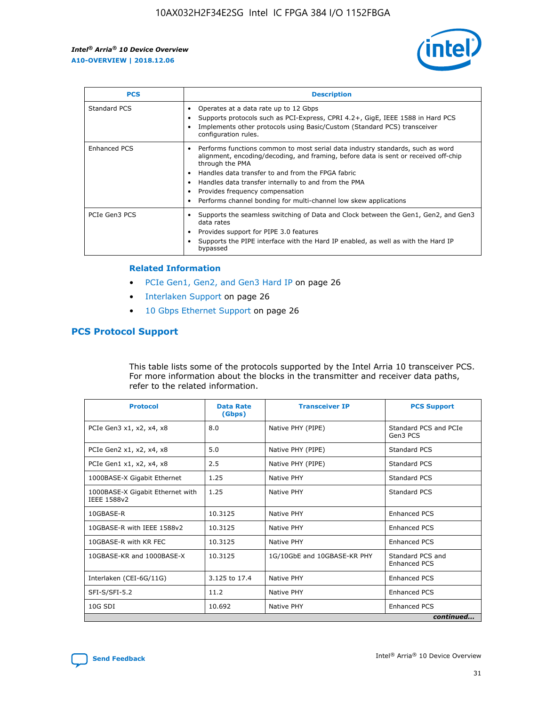

| <b>PCS</b>          | <b>Description</b>                                                                                                                                                                                                                                                                                                                                                                                             |
|---------------------|----------------------------------------------------------------------------------------------------------------------------------------------------------------------------------------------------------------------------------------------------------------------------------------------------------------------------------------------------------------------------------------------------------------|
| Standard PCS        | Operates at a data rate up to 12 Gbps<br>Supports protocols such as PCI-Express, CPRI 4.2+, GigE, IEEE 1588 in Hard PCS<br>Implements other protocols using Basic/Custom (Standard PCS) transceiver<br>configuration rules.                                                                                                                                                                                    |
| <b>Enhanced PCS</b> | Performs functions common to most serial data industry standards, such as word<br>alignment, encoding/decoding, and framing, before data is sent or received off-chip<br>through the PMA<br>• Handles data transfer to and from the FPGA fabric<br>Handles data transfer internally to and from the PMA<br>Provides frequency compensation<br>Performs channel bonding for multi-channel low skew applications |
| PCIe Gen3 PCS       | Supports the seamless switching of Data and Clock between the Gen1, Gen2, and Gen3<br>data rates<br>Provides support for PIPE 3.0 features<br>Supports the PIPE interface with the Hard IP enabled, as well as with the Hard IP<br>bypassed                                                                                                                                                                    |

#### **Related Information**

- PCIe Gen1, Gen2, and Gen3 Hard IP on page 26
- Interlaken Support on page 26
- 10 Gbps Ethernet Support on page 26

## **PCS Protocol Support**

This table lists some of the protocols supported by the Intel Arria 10 transceiver PCS. For more information about the blocks in the transmitter and receiver data paths, refer to the related information.

| <b>Protocol</b>                                 | <b>Data Rate</b><br>(Gbps) | <b>Transceiver IP</b>       | <b>PCS Support</b>                      |
|-------------------------------------------------|----------------------------|-----------------------------|-----------------------------------------|
| PCIe Gen3 x1, x2, x4, x8                        | 8.0                        | Native PHY (PIPE)           | Standard PCS and PCIe<br>Gen3 PCS       |
| PCIe Gen2 x1, x2, x4, x8                        | 5.0                        | Native PHY (PIPE)           | <b>Standard PCS</b>                     |
| PCIe Gen1 x1, x2, x4, x8                        | 2.5                        | Native PHY (PIPE)           | Standard PCS                            |
| 1000BASE-X Gigabit Ethernet                     | 1.25                       | Native PHY                  | <b>Standard PCS</b>                     |
| 1000BASE-X Gigabit Ethernet with<br>IEEE 1588v2 | 1.25                       | Native PHY                  | Standard PCS                            |
| 10GBASE-R                                       | 10.3125                    | Native PHY                  | <b>Enhanced PCS</b>                     |
| 10GBASE-R with IEEE 1588v2                      | 10.3125                    | Native PHY                  | <b>Enhanced PCS</b>                     |
| 10GBASE-R with KR FEC                           | 10.3125                    | Native PHY                  | <b>Enhanced PCS</b>                     |
| 10GBASE-KR and 1000BASE-X                       | 10.3125                    | 1G/10GbE and 10GBASE-KR PHY | Standard PCS and<br><b>Enhanced PCS</b> |
| Interlaken (CEI-6G/11G)                         | 3.125 to 17.4              | Native PHY                  | <b>Enhanced PCS</b>                     |
| SFI-S/SFI-5.2                                   | 11.2                       | Native PHY                  | <b>Enhanced PCS</b>                     |
| $10G$ SDI                                       | 10.692                     | Native PHY                  | <b>Enhanced PCS</b>                     |
|                                                 |                            |                             | continued                               |



**[Send Feedback](mailto:FPGAtechdocfeedback@intel.com?subject=Feedback%20on%20Intel%20Arria%2010%20Device%20Overview%20(A10-OVERVIEW%202018.12.06)&body=We%20appreciate%20your%20feedback.%20In%20your%20comments,%20also%20specify%20the%20page%20number%20or%20paragraph.%20Thank%20you.) Intel®** Arria<sup>®</sup> 10 Device Overview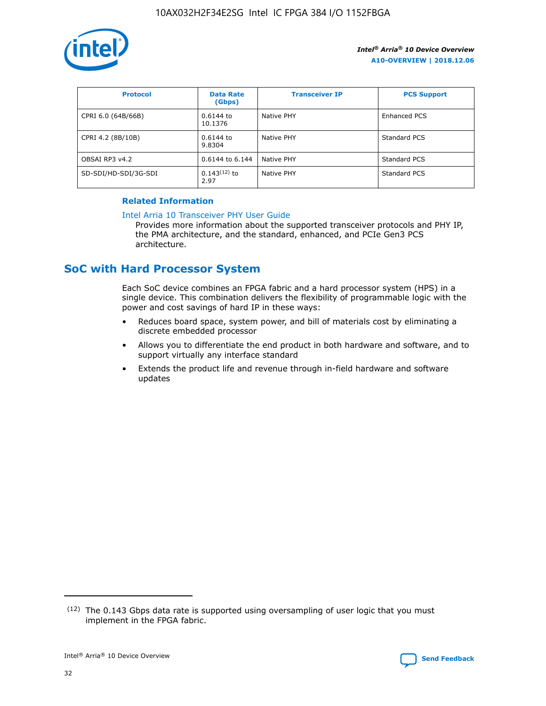

| <b>Protocol</b>      | <b>Data Rate</b><br>(Gbps) | <b>Transceiver IP</b> | <b>PCS Support</b> |
|----------------------|----------------------------|-----------------------|--------------------|
| CPRI 6.0 (64B/66B)   | 0.6144 to<br>10.1376       | Native PHY            | Enhanced PCS       |
| CPRI 4.2 (8B/10B)    | 0.6144 to<br>9.8304        | Native PHY            | Standard PCS       |
| OBSAI RP3 v4.2       | 0.6144 to 6.144            | Native PHY            | Standard PCS       |
| SD-SDI/HD-SDI/3G-SDI | $0.143(12)$ to<br>2.97     | Native PHY            | Standard PCS       |

## **Related Information**

#### [Intel Arria 10 Transceiver PHY User Guide](https://www.intel.com/content/www/us/en/programmable/documentation/nik1398707230472.html#nik1398707091164)

Provides more information about the supported transceiver protocols and PHY IP, the PMA architecture, and the standard, enhanced, and PCIe Gen3 PCS architecture.

# **SoC with Hard Processor System**

Each SoC device combines an FPGA fabric and a hard processor system (HPS) in a single device. This combination delivers the flexibility of programmable logic with the power and cost savings of hard IP in these ways:

- Reduces board space, system power, and bill of materials cost by eliminating a discrete embedded processor
- Allows you to differentiate the end product in both hardware and software, and to support virtually any interface standard
- Extends the product life and revenue through in-field hardware and software updates

 $(12)$  The 0.143 Gbps data rate is supported using oversampling of user logic that you must implement in the FPGA fabric.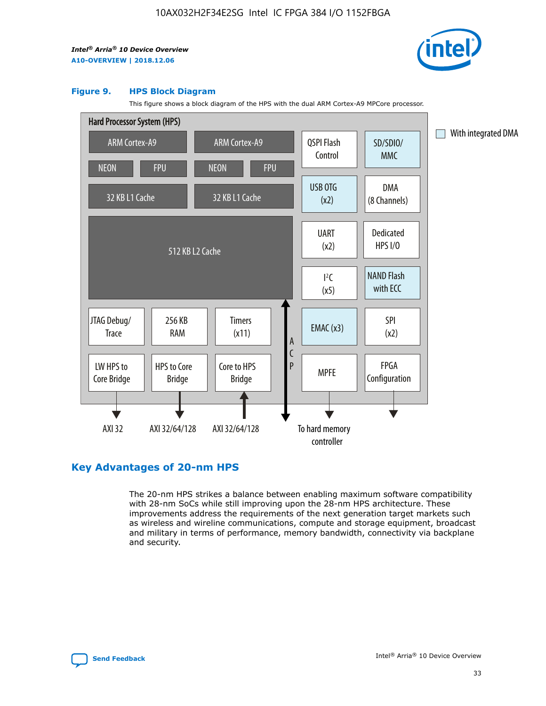

#### **Figure 9. HPS Block Diagram**

This figure shows a block diagram of the HPS with the dual ARM Cortex-A9 MPCore processor.



## **Key Advantages of 20-nm HPS**

The 20-nm HPS strikes a balance between enabling maximum software compatibility with 28-nm SoCs while still improving upon the 28-nm HPS architecture. These improvements address the requirements of the next generation target markets such as wireless and wireline communications, compute and storage equipment, broadcast and military in terms of performance, memory bandwidth, connectivity via backplane and security.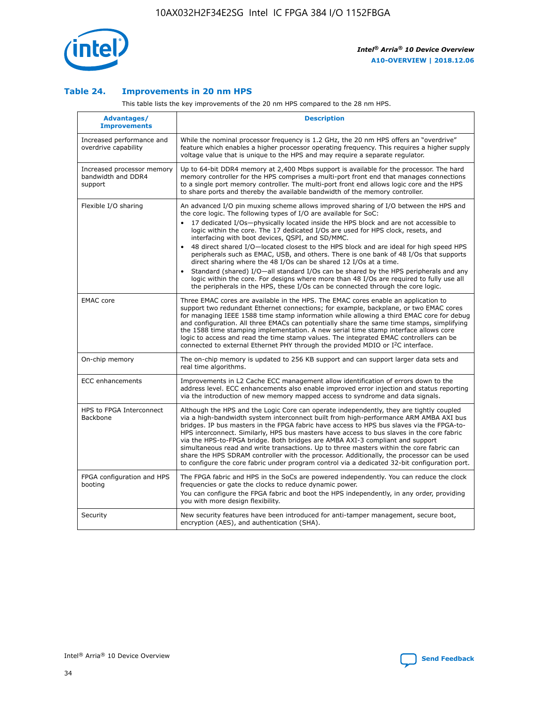

## **Table 24. Improvements in 20 nm HPS**

This table lists the key improvements of the 20 nm HPS compared to the 28 nm HPS.

| Advantages/<br><b>Improvements</b>                          | <b>Description</b>                                                                                                                                                                                                                                                                                                                                                                                                                                                                                                                                                                                                                                                                                                                                                                                                                                                                                                      |
|-------------------------------------------------------------|-------------------------------------------------------------------------------------------------------------------------------------------------------------------------------------------------------------------------------------------------------------------------------------------------------------------------------------------------------------------------------------------------------------------------------------------------------------------------------------------------------------------------------------------------------------------------------------------------------------------------------------------------------------------------------------------------------------------------------------------------------------------------------------------------------------------------------------------------------------------------------------------------------------------------|
| Increased performance and<br>overdrive capability           | While the nominal processor frequency is 1.2 GHz, the 20 nm HPS offers an "overdrive"<br>feature which enables a higher processor operating frequency. This requires a higher supply<br>voltage value that is unique to the HPS and may require a separate regulator.                                                                                                                                                                                                                                                                                                                                                                                                                                                                                                                                                                                                                                                   |
| Increased processor memory<br>bandwidth and DDR4<br>support | Up to 64-bit DDR4 memory at 2,400 Mbps support is available for the processor. The hard<br>memory controller for the HPS comprises a multi-port front end that manages connections<br>to a single port memory controller. The multi-port front end allows logic core and the HPS<br>to share ports and thereby the available bandwidth of the memory controller.                                                                                                                                                                                                                                                                                                                                                                                                                                                                                                                                                        |
| Flexible I/O sharing                                        | An advanced I/O pin muxing scheme allows improved sharing of I/O between the HPS and<br>the core logic. The following types of I/O are available for SoC:<br>17 dedicated I/Os-physically located inside the HPS block and are not accessible to<br>logic within the core. The 17 dedicated I/Os are used for HPS clock, resets, and<br>interfacing with boot devices, QSPI, and SD/MMC.<br>48 direct shared I/O-located closest to the HPS block and are ideal for high speed HPS<br>peripherals such as EMAC, USB, and others. There is one bank of 48 I/Os that supports<br>direct sharing where the 48 I/Os can be shared 12 I/Os at a time.<br>Standard (shared) I/O-all standard I/Os can be shared by the HPS peripherals and any<br>logic within the core. For designs where more than 48 I/Os are reguired to fully use all<br>the peripherals in the HPS, these I/Os can be connected through the core logic. |
| <b>EMAC</b> core                                            | Three EMAC cores are available in the HPS. The EMAC cores enable an application to<br>support two redundant Ethernet connections; for example, backplane, or two EMAC cores<br>for managing IEEE 1588 time stamp information while allowing a third EMAC core for debug<br>and configuration. All three EMACs can potentially share the same time stamps, simplifying<br>the 1588 time stamping implementation. A new serial time stamp interface allows core<br>logic to access and read the time stamp values. The integrated EMAC controllers can be<br>connected to external Ethernet PHY through the provided MDIO or I <sup>2</sup> C interface.                                                                                                                                                                                                                                                                  |
| On-chip memory                                              | The on-chip memory is updated to 256 KB support and can support larger data sets and<br>real time algorithms.                                                                                                                                                                                                                                                                                                                                                                                                                                                                                                                                                                                                                                                                                                                                                                                                           |
| <b>ECC</b> enhancements                                     | Improvements in L2 Cache ECC management allow identification of errors down to the<br>address level. ECC enhancements also enable improved error injection and status reporting<br>via the introduction of new memory mapped access to syndrome and data signals.                                                                                                                                                                                                                                                                                                                                                                                                                                                                                                                                                                                                                                                       |
| HPS to FPGA Interconnect<br>Backbone                        | Although the HPS and the Logic Core can operate independently, they are tightly coupled<br>via a high-bandwidth system interconnect built from high-performance ARM AMBA AXI bus<br>bridges. IP bus masters in the FPGA fabric have access to HPS bus slaves via the FPGA-to-<br>HPS interconnect. Similarly, HPS bus masters have access to bus slaves in the core fabric<br>via the HPS-to-FPGA bridge. Both bridges are AMBA AXI-3 compliant and support<br>simultaneous read and write transactions. Up to three masters within the core fabric can<br>share the HPS SDRAM controller with the processor. Additionally, the processor can be used<br>to configure the core fabric under program control via a dedicated 32-bit configuration port.                                                                                                                                                                  |
| FPGA configuration and HPS<br>booting                       | The FPGA fabric and HPS in the SoCs are powered independently. You can reduce the clock<br>frequencies or gate the clocks to reduce dynamic power.<br>You can configure the FPGA fabric and boot the HPS independently, in any order, providing<br>you with more design flexibility.                                                                                                                                                                                                                                                                                                                                                                                                                                                                                                                                                                                                                                    |
| Security                                                    | New security features have been introduced for anti-tamper management, secure boot,<br>encryption (AES), and authentication (SHA).                                                                                                                                                                                                                                                                                                                                                                                                                                                                                                                                                                                                                                                                                                                                                                                      |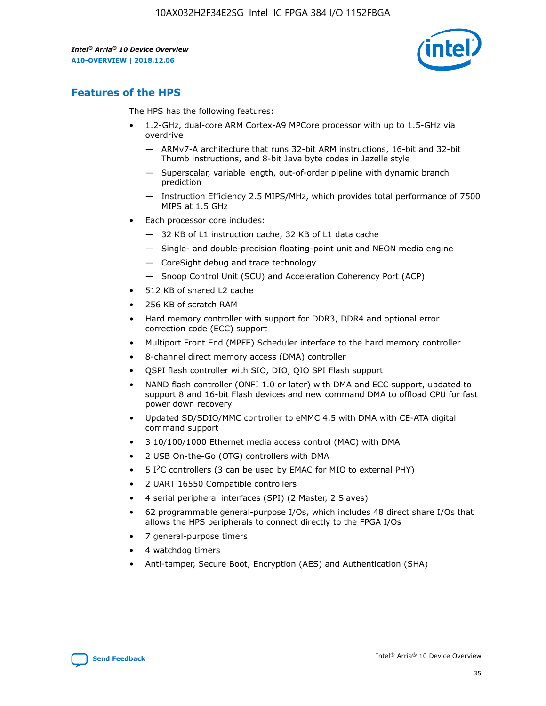

## **Features of the HPS**

The HPS has the following features:

- 1.2-GHz, dual-core ARM Cortex-A9 MPCore processor with up to 1.5-GHz via overdrive
	- ARMv7-A architecture that runs 32-bit ARM instructions, 16-bit and 32-bit Thumb instructions, and 8-bit Java byte codes in Jazelle style
	- Superscalar, variable length, out-of-order pipeline with dynamic branch prediction
	- Instruction Efficiency 2.5 MIPS/MHz, which provides total performance of 7500 MIPS at 1.5 GHz
- Each processor core includes:
	- 32 KB of L1 instruction cache, 32 KB of L1 data cache
	- Single- and double-precision floating-point unit and NEON media engine
	- CoreSight debug and trace technology
	- Snoop Control Unit (SCU) and Acceleration Coherency Port (ACP)
- 512 KB of shared L2 cache
- 256 KB of scratch RAM
- Hard memory controller with support for DDR3, DDR4 and optional error correction code (ECC) support
- Multiport Front End (MPFE) Scheduler interface to the hard memory controller
- 8-channel direct memory access (DMA) controller
- QSPI flash controller with SIO, DIO, QIO SPI Flash support
- NAND flash controller (ONFI 1.0 or later) with DMA and ECC support, updated to support 8 and 16-bit Flash devices and new command DMA to offload CPU for fast power down recovery
- Updated SD/SDIO/MMC controller to eMMC 4.5 with DMA with CE-ATA digital command support
- 3 10/100/1000 Ethernet media access control (MAC) with DMA
- 2 USB On-the-Go (OTG) controllers with DMA
- $\bullet$  5 I<sup>2</sup>C controllers (3 can be used by EMAC for MIO to external PHY)
- 2 UART 16550 Compatible controllers
- 4 serial peripheral interfaces (SPI) (2 Master, 2 Slaves)
- 62 programmable general-purpose I/Os, which includes 48 direct share I/Os that allows the HPS peripherals to connect directly to the FPGA I/Os
- 7 general-purpose timers
- 4 watchdog timers
- Anti-tamper, Secure Boot, Encryption (AES) and Authentication (SHA)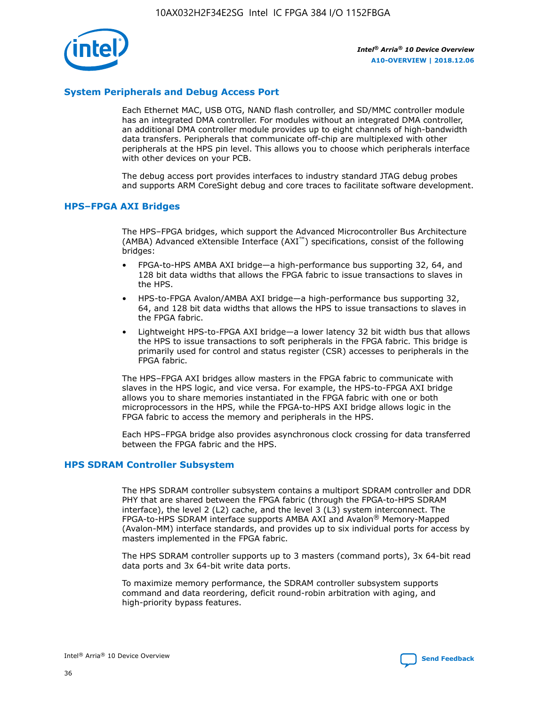

## **System Peripherals and Debug Access Port**

Each Ethernet MAC, USB OTG, NAND flash controller, and SD/MMC controller module has an integrated DMA controller. For modules without an integrated DMA controller, an additional DMA controller module provides up to eight channels of high-bandwidth data transfers. Peripherals that communicate off-chip are multiplexed with other peripherals at the HPS pin level. This allows you to choose which peripherals interface with other devices on your PCB.

The debug access port provides interfaces to industry standard JTAG debug probes and supports ARM CoreSight debug and core traces to facilitate software development.

## **HPS–FPGA AXI Bridges**

The HPS–FPGA bridges, which support the Advanced Microcontroller Bus Architecture (AMBA) Advanced eXtensible Interface (AXI™) specifications, consist of the following bridges:

- FPGA-to-HPS AMBA AXI bridge—a high-performance bus supporting 32, 64, and 128 bit data widths that allows the FPGA fabric to issue transactions to slaves in the HPS.
- HPS-to-FPGA Avalon/AMBA AXI bridge—a high-performance bus supporting 32, 64, and 128 bit data widths that allows the HPS to issue transactions to slaves in the FPGA fabric.
- Lightweight HPS-to-FPGA AXI bridge—a lower latency 32 bit width bus that allows the HPS to issue transactions to soft peripherals in the FPGA fabric. This bridge is primarily used for control and status register (CSR) accesses to peripherals in the FPGA fabric.

The HPS–FPGA AXI bridges allow masters in the FPGA fabric to communicate with slaves in the HPS logic, and vice versa. For example, the HPS-to-FPGA AXI bridge allows you to share memories instantiated in the FPGA fabric with one or both microprocessors in the HPS, while the FPGA-to-HPS AXI bridge allows logic in the FPGA fabric to access the memory and peripherals in the HPS.

Each HPS–FPGA bridge also provides asynchronous clock crossing for data transferred between the FPGA fabric and the HPS.

#### **HPS SDRAM Controller Subsystem**

The HPS SDRAM controller subsystem contains a multiport SDRAM controller and DDR PHY that are shared between the FPGA fabric (through the FPGA-to-HPS SDRAM interface), the level 2 (L2) cache, and the level 3 (L3) system interconnect. The FPGA-to-HPS SDRAM interface supports AMBA AXI and Avalon® Memory-Mapped (Avalon-MM) interface standards, and provides up to six individual ports for access by masters implemented in the FPGA fabric.

The HPS SDRAM controller supports up to 3 masters (command ports), 3x 64-bit read data ports and 3x 64-bit write data ports.

To maximize memory performance, the SDRAM controller subsystem supports command and data reordering, deficit round-robin arbitration with aging, and high-priority bypass features.

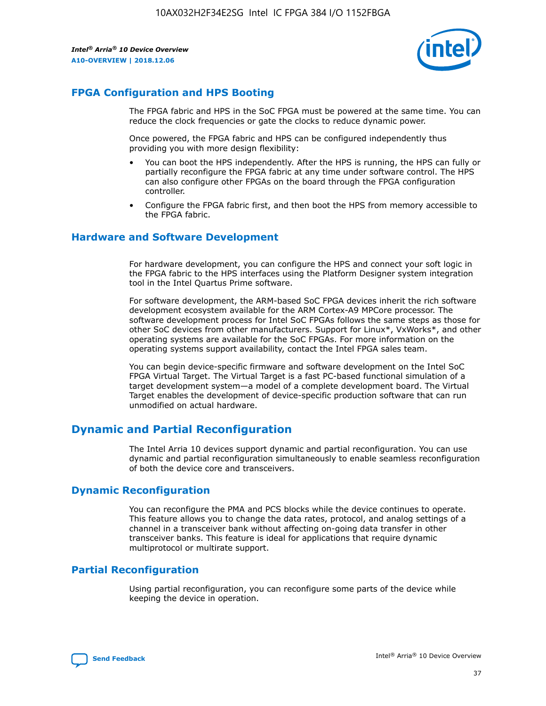

## **FPGA Configuration and HPS Booting**

The FPGA fabric and HPS in the SoC FPGA must be powered at the same time. You can reduce the clock frequencies or gate the clocks to reduce dynamic power.

Once powered, the FPGA fabric and HPS can be configured independently thus providing you with more design flexibility:

- You can boot the HPS independently. After the HPS is running, the HPS can fully or partially reconfigure the FPGA fabric at any time under software control. The HPS can also configure other FPGAs on the board through the FPGA configuration controller.
- Configure the FPGA fabric first, and then boot the HPS from memory accessible to the FPGA fabric.

## **Hardware and Software Development**

For hardware development, you can configure the HPS and connect your soft logic in the FPGA fabric to the HPS interfaces using the Platform Designer system integration tool in the Intel Quartus Prime software.

For software development, the ARM-based SoC FPGA devices inherit the rich software development ecosystem available for the ARM Cortex-A9 MPCore processor. The software development process for Intel SoC FPGAs follows the same steps as those for other SoC devices from other manufacturers. Support for Linux\*, VxWorks\*, and other operating systems are available for the SoC FPGAs. For more information on the operating systems support availability, contact the Intel FPGA sales team.

You can begin device-specific firmware and software development on the Intel SoC FPGA Virtual Target. The Virtual Target is a fast PC-based functional simulation of a target development system—a model of a complete development board. The Virtual Target enables the development of device-specific production software that can run unmodified on actual hardware.

## **Dynamic and Partial Reconfiguration**

The Intel Arria 10 devices support dynamic and partial reconfiguration. You can use dynamic and partial reconfiguration simultaneously to enable seamless reconfiguration of both the device core and transceivers.

## **Dynamic Reconfiguration**

You can reconfigure the PMA and PCS blocks while the device continues to operate. This feature allows you to change the data rates, protocol, and analog settings of a channel in a transceiver bank without affecting on-going data transfer in other transceiver banks. This feature is ideal for applications that require dynamic multiprotocol or multirate support.

## **Partial Reconfiguration**

Using partial reconfiguration, you can reconfigure some parts of the device while keeping the device in operation.

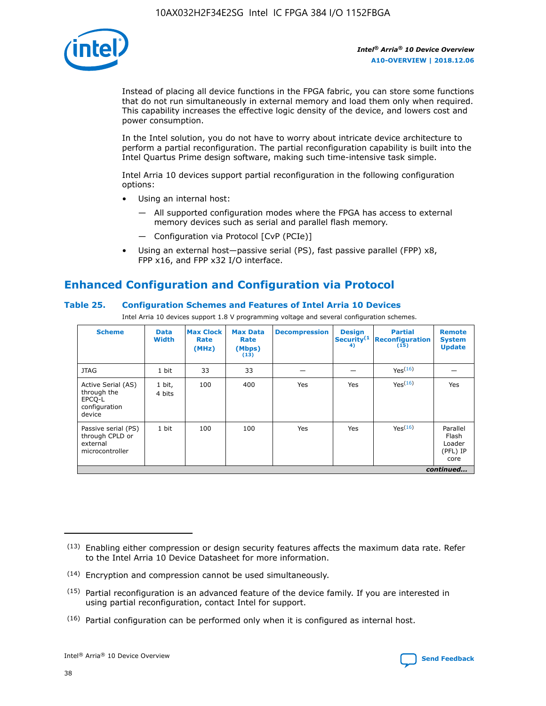

Instead of placing all device functions in the FPGA fabric, you can store some functions that do not run simultaneously in external memory and load them only when required. This capability increases the effective logic density of the device, and lowers cost and power consumption.

In the Intel solution, you do not have to worry about intricate device architecture to perform a partial reconfiguration. The partial reconfiguration capability is built into the Intel Quartus Prime design software, making such time-intensive task simple.

Intel Arria 10 devices support partial reconfiguration in the following configuration options:

- Using an internal host:
	- All supported configuration modes where the FPGA has access to external memory devices such as serial and parallel flash memory.
	- Configuration via Protocol [CvP (PCIe)]
- Using an external host—passive serial (PS), fast passive parallel (FPP) x8, FPP x16, and FPP x32 I/O interface.

# **Enhanced Configuration and Configuration via Protocol**

## **Table 25. Configuration Schemes and Features of Intel Arria 10 Devices**

Intel Arria 10 devices support 1.8 V programming voltage and several configuration schemes.

| <b>Scheme</b>                                                          | <b>Data</b><br><b>Width</b> | <b>Max Clock</b><br>Rate<br>(MHz) | <b>Max Data</b><br>Rate<br>(Mbps)<br>(13) | <b>Decompression</b> | <b>Design</b><br>Security <sup>(1</sup><br>4) | <b>Partial</b><br>Reconfiguration<br>(15) | <b>Remote</b><br><b>System</b><br><b>Update</b> |
|------------------------------------------------------------------------|-----------------------------|-----------------------------------|-------------------------------------------|----------------------|-----------------------------------------------|-------------------------------------------|-------------------------------------------------|
| <b>JTAG</b>                                                            | 1 bit                       | 33                                | 33                                        |                      |                                               | Yes <sup>(16)</sup>                       |                                                 |
| Active Serial (AS)<br>through the<br>EPCO-L<br>configuration<br>device | 1 bit,<br>4 bits            | 100                               | 400                                       | Yes                  | Yes                                           | $Y_{PS}(16)$                              | Yes                                             |
| Passive serial (PS)<br>through CPLD or<br>external<br>microcontroller  | 1 bit                       | 100                               | 100                                       | Yes                  | Yes                                           | Yes(16)                                   | Parallel<br>Flash<br>Loader<br>(PFL) IP<br>core |
|                                                                        |                             |                                   |                                           |                      |                                               |                                           | continued                                       |

<sup>(13)</sup> Enabling either compression or design security features affects the maximum data rate. Refer to the Intel Arria 10 Device Datasheet for more information.

<sup>(14)</sup> Encryption and compression cannot be used simultaneously.

 $<sup>(15)</sup>$  Partial reconfiguration is an advanced feature of the device family. If you are interested in</sup> using partial reconfiguration, contact Intel for support.

 $(16)$  Partial configuration can be performed only when it is configured as internal host.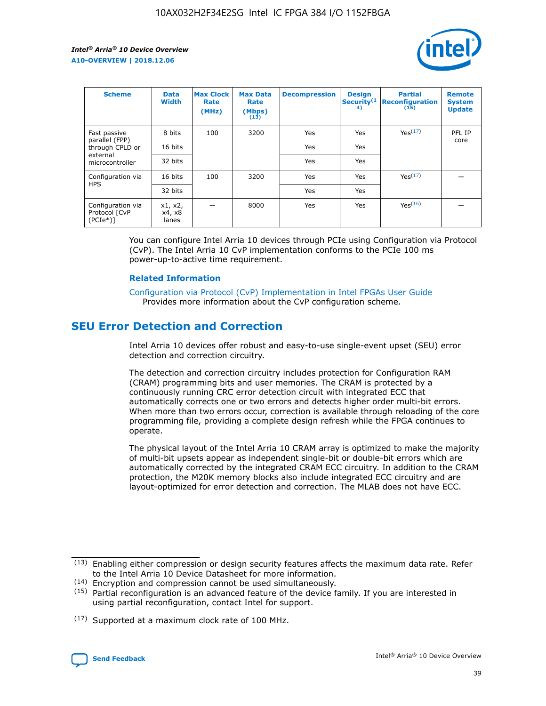

| <b>Scheme</b>                                    | <b>Data</b><br><b>Width</b> | <b>Max Clock</b><br>Rate<br>(MHz) | <b>Max Data</b><br>Rate<br>(Mbps)<br>(13) | <b>Decompression</b> | <b>Design</b><br>Security <sup>(1</sup><br>4) | <b>Partial</b><br><b>Reconfiguration</b><br>(15) | <b>Remote</b><br><b>System</b><br><b>Update</b> |
|--------------------------------------------------|-----------------------------|-----------------------------------|-------------------------------------------|----------------------|-----------------------------------------------|--------------------------------------------------|-------------------------------------------------|
| Fast passive                                     | 8 bits                      | 100                               | 3200                                      | Yes                  | Yes                                           | Yes(17)                                          | PFL IP                                          |
| parallel (FPP)<br>through CPLD or                | 16 bits                     |                                   |                                           | Yes                  | Yes                                           |                                                  | core                                            |
| external<br>microcontroller                      | 32 bits                     |                                   |                                           | Yes                  | Yes                                           |                                                  |                                                 |
| Configuration via                                | 16 bits                     | 100                               | 3200                                      | Yes                  | Yes                                           | Yes <sup>(17)</sup>                              |                                                 |
| <b>HPS</b>                                       | 32 bits                     |                                   |                                           | Yes                  | Yes                                           |                                                  |                                                 |
| Configuration via<br>Protocol [CvP<br>$(PCIe^*)$ | x1, x2,<br>x4, x8<br>lanes  |                                   | 8000                                      | Yes                  | Yes                                           | Yes(16)                                          |                                                 |

You can configure Intel Arria 10 devices through PCIe using Configuration via Protocol (CvP). The Intel Arria 10 CvP implementation conforms to the PCIe 100 ms power-up-to-active time requirement.

#### **Related Information**

[Configuration via Protocol \(CvP\) Implementation in Intel FPGAs User Guide](https://www.intel.com/content/www/us/en/programmable/documentation/dsu1441819344145.html#dsu1442269728522) Provides more information about the CvP configuration scheme.

# **SEU Error Detection and Correction**

Intel Arria 10 devices offer robust and easy-to-use single-event upset (SEU) error detection and correction circuitry.

The detection and correction circuitry includes protection for Configuration RAM (CRAM) programming bits and user memories. The CRAM is protected by a continuously running CRC error detection circuit with integrated ECC that automatically corrects one or two errors and detects higher order multi-bit errors. When more than two errors occur, correction is available through reloading of the core programming file, providing a complete design refresh while the FPGA continues to operate.

The physical layout of the Intel Arria 10 CRAM array is optimized to make the majority of multi-bit upsets appear as independent single-bit or double-bit errors which are automatically corrected by the integrated CRAM ECC circuitry. In addition to the CRAM protection, the M20K memory blocks also include integrated ECC circuitry and are layout-optimized for error detection and correction. The MLAB does not have ECC.

(14) Encryption and compression cannot be used simultaneously.

<sup>(17)</sup> Supported at a maximum clock rate of 100 MHz.



 $(13)$  Enabling either compression or design security features affects the maximum data rate. Refer to the Intel Arria 10 Device Datasheet for more information.

 $(15)$  Partial reconfiguration is an advanced feature of the device family. If you are interested in using partial reconfiguration, contact Intel for support.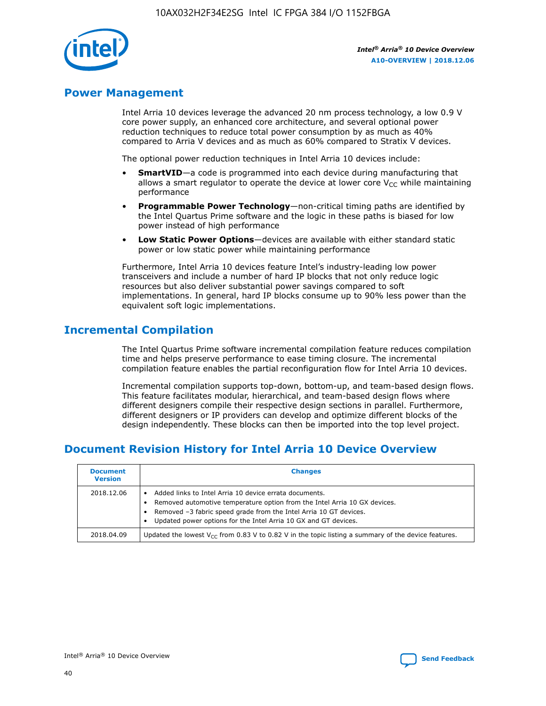

## **Power Management**

Intel Arria 10 devices leverage the advanced 20 nm process technology, a low 0.9 V core power supply, an enhanced core architecture, and several optional power reduction techniques to reduce total power consumption by as much as 40% compared to Arria V devices and as much as 60% compared to Stratix V devices.

The optional power reduction techniques in Intel Arria 10 devices include:

- **SmartVID**—a code is programmed into each device during manufacturing that allows a smart regulator to operate the device at lower core  $V_{CC}$  while maintaining performance
- **Programmable Power Technology**—non-critical timing paths are identified by the Intel Quartus Prime software and the logic in these paths is biased for low power instead of high performance
- **Low Static Power Options**—devices are available with either standard static power or low static power while maintaining performance

Furthermore, Intel Arria 10 devices feature Intel's industry-leading low power transceivers and include a number of hard IP blocks that not only reduce logic resources but also deliver substantial power savings compared to soft implementations. In general, hard IP blocks consume up to 90% less power than the equivalent soft logic implementations.

# **Incremental Compilation**

The Intel Quartus Prime software incremental compilation feature reduces compilation time and helps preserve performance to ease timing closure. The incremental compilation feature enables the partial reconfiguration flow for Intel Arria 10 devices.

Incremental compilation supports top-down, bottom-up, and team-based design flows. This feature facilitates modular, hierarchical, and team-based design flows where different designers compile their respective design sections in parallel. Furthermore, different designers or IP providers can develop and optimize different blocks of the design independently. These blocks can then be imported into the top level project.

# **Document Revision History for Intel Arria 10 Device Overview**

| <b>Document</b><br><b>Version</b> | <b>Changes</b>                                                                                                                                                                                                                                                              |
|-----------------------------------|-----------------------------------------------------------------------------------------------------------------------------------------------------------------------------------------------------------------------------------------------------------------------------|
| 2018.12.06                        | Added links to Intel Arria 10 device errata documents.<br>Removed automotive temperature option from the Intel Arria 10 GX devices.<br>Removed -3 fabric speed grade from the Intel Arria 10 GT devices.<br>Updated power options for the Intel Arria 10 GX and GT devices. |
| 2018.04.09                        | Updated the lowest $V_{CC}$ from 0.83 V to 0.82 V in the topic listing a summary of the device features.                                                                                                                                                                    |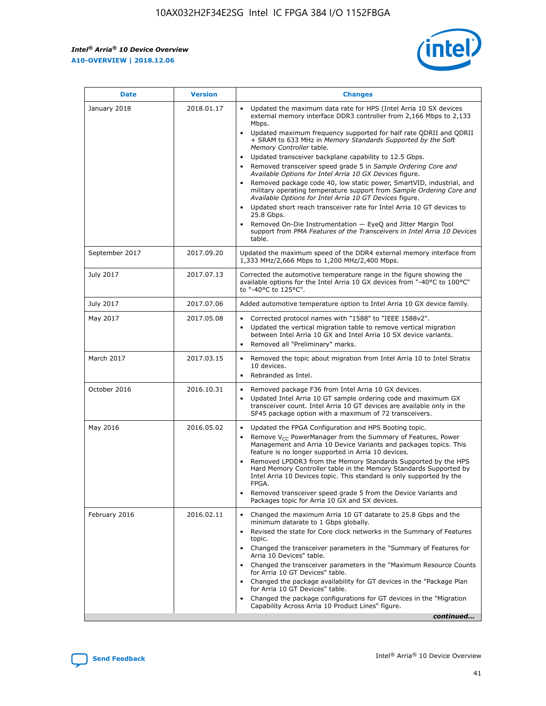

| <b>Date</b>    | <b>Version</b> | <b>Changes</b>                                                                                                                                                                                                                                                                                                                                                                                                                                                                                                                                                                                                                                                                                                                                                                                                                                                                                                                                               |
|----------------|----------------|--------------------------------------------------------------------------------------------------------------------------------------------------------------------------------------------------------------------------------------------------------------------------------------------------------------------------------------------------------------------------------------------------------------------------------------------------------------------------------------------------------------------------------------------------------------------------------------------------------------------------------------------------------------------------------------------------------------------------------------------------------------------------------------------------------------------------------------------------------------------------------------------------------------------------------------------------------------|
| January 2018   | 2018.01.17     | Updated the maximum data rate for HPS (Intel Arria 10 SX devices<br>external memory interface DDR3 controller from 2,166 Mbps to 2,133<br>Mbps.<br>Updated maximum frequency supported for half rate QDRII and QDRII<br>+ SRAM to 633 MHz in Memory Standards Supported by the Soft<br>Memory Controller table.<br>Updated transceiver backplane capability to 12.5 Gbps.<br>Removed transceiver speed grade 5 in Sample Ordering Core and<br>Available Options for Intel Arria 10 GX Devices figure.<br>Removed package code 40, low static power, SmartVID, industrial, and<br>military operating temperature support from Sample Ordering Core and<br>Available Options for Intel Arria 10 GT Devices figure.<br>Updated short reach transceiver rate for Intel Arria 10 GT devices to<br>25.8 Gbps.<br>Removed On-Die Instrumentation - EyeQ and Jitter Margin Tool<br>support from PMA Features of the Transceivers in Intel Arria 10 Devices<br>table. |
| September 2017 | 2017.09.20     | Updated the maximum speed of the DDR4 external memory interface from<br>1,333 MHz/2,666 Mbps to 1,200 MHz/2,400 Mbps.                                                                                                                                                                                                                                                                                                                                                                                                                                                                                                                                                                                                                                                                                                                                                                                                                                        |
| July 2017      | 2017.07.13     | Corrected the automotive temperature range in the figure showing the<br>available options for the Intel Arria 10 GX devices from "-40°C to 100°C"<br>to "-40°C to 125°C".                                                                                                                                                                                                                                                                                                                                                                                                                                                                                                                                                                                                                                                                                                                                                                                    |
| July 2017      | 2017.07.06     | Added automotive temperature option to Intel Arria 10 GX device family.                                                                                                                                                                                                                                                                                                                                                                                                                                                                                                                                                                                                                                                                                                                                                                                                                                                                                      |
| May 2017       | 2017.05.08     | Corrected protocol names with "1588" to "IEEE 1588v2".<br>Updated the vertical migration table to remove vertical migration<br>$\bullet$<br>between Intel Arria 10 GX and Intel Arria 10 SX device variants.<br>Removed all "Preliminary" marks.                                                                                                                                                                                                                                                                                                                                                                                                                                                                                                                                                                                                                                                                                                             |
| March 2017     | 2017.03.15     | Removed the topic about migration from Intel Arria 10 to Intel Stratix<br>10 devices.<br>Rebranded as Intel.<br>$\bullet$                                                                                                                                                                                                                                                                                                                                                                                                                                                                                                                                                                                                                                                                                                                                                                                                                                    |
| October 2016   | 2016.10.31     | Removed package F36 from Intel Arria 10 GX devices.<br>Updated Intel Arria 10 GT sample ordering code and maximum GX<br>$\bullet$<br>transceiver count. Intel Arria 10 GT devices are available only in the<br>SF45 package option with a maximum of 72 transceivers.                                                                                                                                                                                                                                                                                                                                                                                                                                                                                                                                                                                                                                                                                        |
| May 2016       | 2016.05.02     | Updated the FPGA Configuration and HPS Booting topic.<br>$\bullet$<br>Remove V <sub>CC</sub> PowerManager from the Summary of Features, Power<br>Management and Arria 10 Device Variants and packages topics. This<br>feature is no longer supported in Arria 10 devices.<br>Removed LPDDR3 from the Memory Standards Supported by the HPS<br>Hard Memory Controller table in the Memory Standards Supported by<br>Intel Arria 10 Devices topic. This standard is only supported by the<br>FPGA.<br>Removed transceiver speed grade 5 from the Device Variants and<br>Packages topic for Arria 10 GX and SX devices.                                                                                                                                                                                                                                                                                                                                         |
| February 2016  | 2016.02.11     | Changed the maximum Arria 10 GT datarate to 25.8 Gbps and the<br>minimum datarate to 1 Gbps globally.<br>Revised the state for Core clock networks in the Summary of Features<br>topic.<br>Changed the transceiver parameters in the "Summary of Features for<br>Arria 10 Devices" table.<br>Changed the transceiver parameters in the "Maximum Resource Counts"<br>for Arria 10 GT Devices" table.<br>Changed the package availability for GT devices in the "Package Plan<br>for Arria 10 GT Devices" table.<br>Changed the package configurations for GT devices in the "Migration"<br>Capability Across Arria 10 Product Lines" figure.<br>continued                                                                                                                                                                                                                                                                                                     |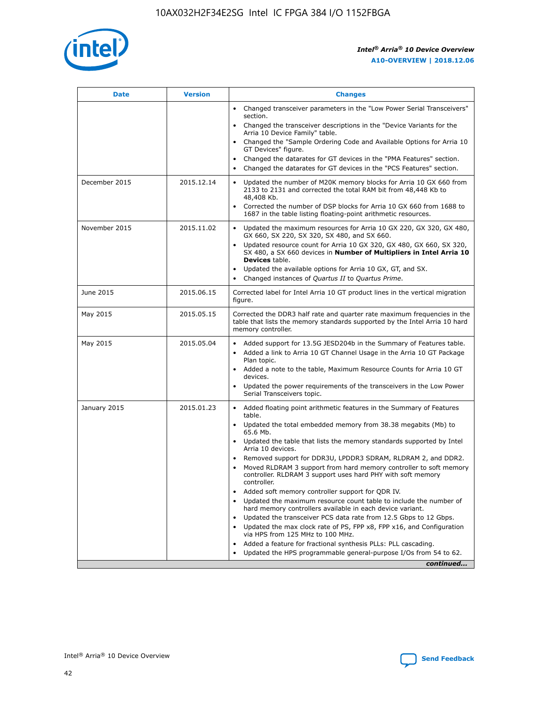

| <b>Date</b>   | <b>Version</b> | <b>Changes</b>                                                                                                                                                               |
|---------------|----------------|------------------------------------------------------------------------------------------------------------------------------------------------------------------------------|
|               |                | Changed transceiver parameters in the "Low Power Serial Transceivers"<br>$\bullet$<br>section.                                                                               |
|               |                | • Changed the transceiver descriptions in the "Device Variants for the<br>Arria 10 Device Family" table.                                                                     |
|               |                | • Changed the "Sample Ordering Code and Available Options for Arria 10<br>GT Devices" figure.                                                                                |
|               |                | Changed the datarates for GT devices in the "PMA Features" section.                                                                                                          |
|               |                | Changed the datarates for GT devices in the "PCS Features" section.<br>$\bullet$                                                                                             |
| December 2015 | 2015.12.14     | Updated the number of M20K memory blocks for Arria 10 GX 660 from<br>2133 to 2131 and corrected the total RAM bit from 48,448 Kb to<br>48,408 Kb.                            |
|               |                | Corrected the number of DSP blocks for Arria 10 GX 660 from 1688 to<br>$\bullet$<br>1687 in the table listing floating-point arithmetic resources.                           |
| November 2015 | 2015.11.02     | Updated the maximum resources for Arria 10 GX 220, GX 320, GX 480,<br>GX 660, SX 220, SX 320, SX 480, and SX 660.                                                            |
|               |                | Updated resource count for Arria 10 GX 320, GX 480, GX 660, SX 320,<br>SX 480, a SX 660 devices in Number of Multipliers in Intel Arria 10<br><b>Devices</b> table.          |
|               |                | Updated the available options for Arria 10 GX, GT, and SX.<br>$\bullet$                                                                                                      |
|               |                | Changed instances of Quartus II to Quartus Prime.<br>$\bullet$                                                                                                               |
| June 2015     | 2015.06.15     | Corrected label for Intel Arria 10 GT product lines in the vertical migration<br>figure.                                                                                     |
| May 2015      | 2015.05.15     | Corrected the DDR3 half rate and quarter rate maximum frequencies in the<br>table that lists the memory standards supported by the Intel Arria 10 hard<br>memory controller. |
| May 2015      | 2015.05.04     | • Added support for 13.5G JESD204b in the Summary of Features table.                                                                                                         |
|               |                | Added a link to Arria 10 GT Channel Usage in the Arria 10 GT Package<br>$\bullet$<br>Plan topic.                                                                             |
|               |                | • Added a note to the table, Maximum Resource Counts for Arria 10 GT<br>devices.                                                                                             |
|               |                | • Updated the power requirements of the transceivers in the Low Power<br>Serial Transceivers topic.                                                                          |
| January 2015  | 2015.01.23     | • Added floating point arithmetic features in the Summary of Features<br>table.                                                                                              |
|               |                | • Updated the total embedded memory from 38.38 megabits (Mb) to<br>65.6 Mb.                                                                                                  |
|               |                | • Updated the table that lists the memory standards supported by Intel<br>Arria 10 devices.                                                                                  |
|               |                | Removed support for DDR3U, LPDDR3 SDRAM, RLDRAM 2, and DDR2.                                                                                                                 |
|               |                | Moved RLDRAM 3 support from hard memory controller to soft memory<br>controller. RLDRAM 3 support uses hard PHY with soft memory<br>controller.                              |
|               |                | Added soft memory controller support for QDR IV.                                                                                                                             |
|               |                | Updated the maximum resource count table to include the number of<br>hard memory controllers available in each device variant.                                               |
|               |                | Updated the transceiver PCS data rate from 12.5 Gbps to 12 Gbps.                                                                                                             |
|               |                | Updated the max clock rate of PS, FPP x8, FPP x16, and Configuration<br>via HPS from 125 MHz to 100 MHz.                                                                     |
|               |                | Added a feature for fractional synthesis PLLs: PLL cascading.                                                                                                                |
|               |                | Updated the HPS programmable general-purpose I/Os from 54 to 62.<br>$\bullet$                                                                                                |
|               |                | continued                                                                                                                                                                    |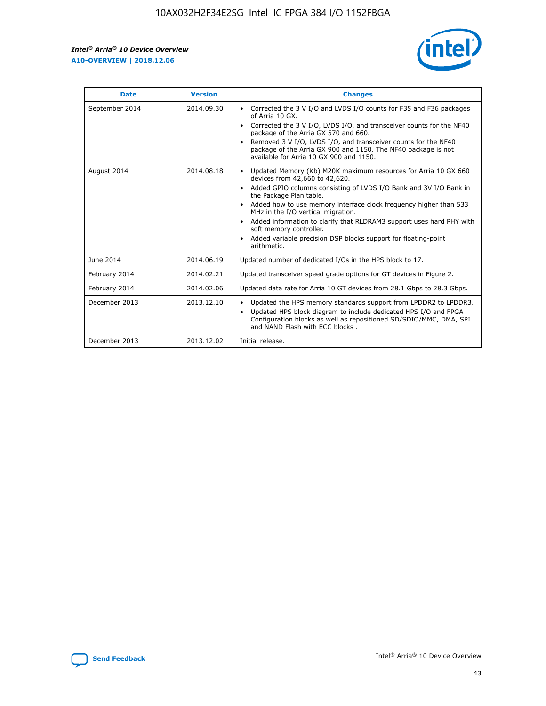r



| <b>Date</b>    | <b>Version</b> | <b>Changes</b>                                                                                                                                                                                                                                                                                                                                                                                                                                                                                                                         |
|----------------|----------------|----------------------------------------------------------------------------------------------------------------------------------------------------------------------------------------------------------------------------------------------------------------------------------------------------------------------------------------------------------------------------------------------------------------------------------------------------------------------------------------------------------------------------------------|
| September 2014 | 2014.09.30     | Corrected the 3 V I/O and LVDS I/O counts for F35 and F36 packages<br>of Arria 10 GX.<br>Corrected the 3 V I/O, LVDS I/O, and transceiver counts for the NF40<br>$\bullet$<br>package of the Arria GX 570 and 660.<br>Removed 3 V I/O, LVDS I/O, and transceiver counts for the NF40<br>package of the Arria GX 900 and 1150. The NF40 package is not<br>available for Arria 10 GX 900 and 1150.                                                                                                                                       |
| August 2014    | 2014.08.18     | Updated Memory (Kb) M20K maximum resources for Arria 10 GX 660<br>devices from 42,660 to 42,620.<br>Added GPIO columns consisting of LVDS I/O Bank and 3V I/O Bank in<br>$\bullet$<br>the Package Plan table.<br>Added how to use memory interface clock frequency higher than 533<br>$\bullet$<br>MHz in the I/O vertical migration.<br>Added information to clarify that RLDRAM3 support uses hard PHY with<br>$\bullet$<br>soft memory controller.<br>Added variable precision DSP blocks support for floating-point<br>arithmetic. |
| June 2014      | 2014.06.19     | Updated number of dedicated I/Os in the HPS block to 17.                                                                                                                                                                                                                                                                                                                                                                                                                                                                               |
| February 2014  | 2014.02.21     | Updated transceiver speed grade options for GT devices in Figure 2.                                                                                                                                                                                                                                                                                                                                                                                                                                                                    |
| February 2014  | 2014.02.06     | Updated data rate for Arria 10 GT devices from 28.1 Gbps to 28.3 Gbps.                                                                                                                                                                                                                                                                                                                                                                                                                                                                 |
| December 2013  | 2013.12.10     | Updated the HPS memory standards support from LPDDR2 to LPDDR3.<br>Updated HPS block diagram to include dedicated HPS I/O and FPGA<br>$\bullet$<br>Configuration blocks as well as repositioned SD/SDIO/MMC, DMA, SPI<br>and NAND Flash with ECC blocks.                                                                                                                                                                                                                                                                               |
| December 2013  | 2013.12.02     | Initial release.                                                                                                                                                                                                                                                                                                                                                                                                                                                                                                                       |